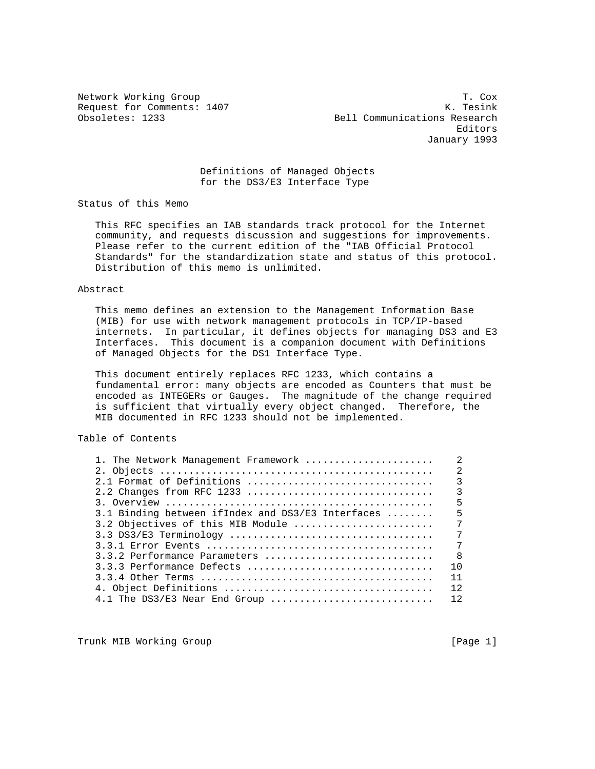Request for Comments: 1407

Network Working Group 1. Cox 1. Cox 1. Cox 1. Cox 1. Cox 1. Cox 1. Cox 1. Cox 1. Cox 1. Cox 1. Cox 1. Cox 1. Cox 1. Cox 1. Cox 1. Cox 1. Cox 1. Cox 1. Cox 1. Cox 1. Cox 1. Cox 1. Cox 1. Cox 1. Cox 1. Cox 1. Cox 1. Cox 1. C Obsoletes: 1233 Bell Communications Research Editors January 1993

> Definitions of Managed Objects for the DS3/E3 Interface Type

Status of this Memo

 This RFC specifies an IAB standards track protocol for the Internet community, and requests discussion and suggestions for improvements. Please refer to the current edition of the "IAB Official Protocol Standards" for the standardization state and status of this protocol. Distribution of this memo is unlimited.

### Abstract

 This memo defines an extension to the Management Information Base (MIB) for use with network management protocols in TCP/IP-based internets. In particular, it defines objects for managing DS3 and E3 Interfaces. This document is a companion document with Definitions of Managed Objects for the DS1 Interface Type.

 This document entirely replaces RFC 1233, which contains a fundamental error: many objects are encoded as Counters that must be encoded as INTEGERs or Gauges. The magnitude of the change required is sufficient that virtually every object changed. Therefore, the MIB documented in RFC 1233 should not be implemented.

# Table of Contents

| 1. The Network Management Framework               | $\overline{2}$ |
|---------------------------------------------------|----------------|
|                                                   | $\mathfrak{D}$ |
| 2.1 Format of Definitions                         | $\overline{3}$ |
|                                                   | $\overline{3}$ |
|                                                   | 5              |
| 3.1 Binding between ifIndex and DS3/E3 Interfaces | 5              |
| 3.2 Objectives of this MIB Module                 | 7              |
|                                                   | 7              |
|                                                   | 7              |
| $3.3.2$ Performance Parameters                    | - 8            |
| 3.3.3 Performance Defects                         | 10             |
|                                                   | 11             |
|                                                   | 12             |
| 4.1 The DS3/E3 Near End Group                     | 12             |
|                                                   |                |

Trunk MIB Working Group **Example 2018** [Page 1]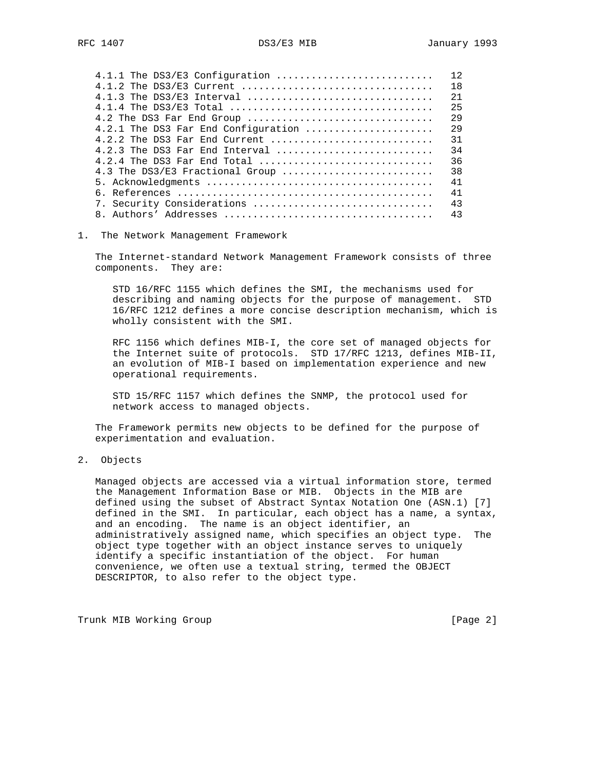| $4.1.1$ The DS3/E3 Configuration    | 12  |
|-------------------------------------|-----|
| 4.1.2 The DS3/E3 Current            | 18  |
| $4.1.3$ The DS3/E3 Interval         | 21  |
|                                     | 2.5 |
| 4.2 The DS3 Far End Group           | 29  |
| 4.2.1 The DS3 Far End Configuration | 29  |
| 4.2.2 The DS3 Far End Current       | 31  |
| 4.2.3 The DS3 Far End Interval      | 34  |
| 4.2.4 The DS3 Far End Total         | 36  |
| 4.3 The DS3/E3 Fractional Group     | 38  |
|                                     | 41  |
|                                     | 41  |
| 7. Security Considerations          | 43  |
|                                     | 43  |
|                                     |     |

### 1. The Network Management Framework

 The Internet-standard Network Management Framework consists of three components. They are:

 STD 16/RFC 1155 which defines the SMI, the mechanisms used for describing and naming objects for the purpose of management. STD 16/RFC 1212 defines a more concise description mechanism, which is wholly consistent with the SMI.

 RFC 1156 which defines MIB-I, the core set of managed objects for the Internet suite of protocols. STD 17/RFC 1213, defines MIB-II, an evolution of MIB-I based on implementation experience and new operational requirements.

 STD 15/RFC 1157 which defines the SNMP, the protocol used for network access to managed objects.

 The Framework permits new objects to be defined for the purpose of experimentation and evaluation.

## 2. Objects

 Managed objects are accessed via a virtual information store, termed the Management Information Base or MIB. Objects in the MIB are defined using the subset of Abstract Syntax Notation One (ASN.1) [7] defined in the SMI. In particular, each object has a name, a syntax, and an encoding. The name is an object identifier, an administratively assigned name, which specifies an object type. The object type together with an object instance serves to uniquely identify a specific instantiation of the object. For human convenience, we often use a textual string, termed the OBJECT DESCRIPTOR, to also refer to the object type.

Trunk MIB Working Group [Page 2]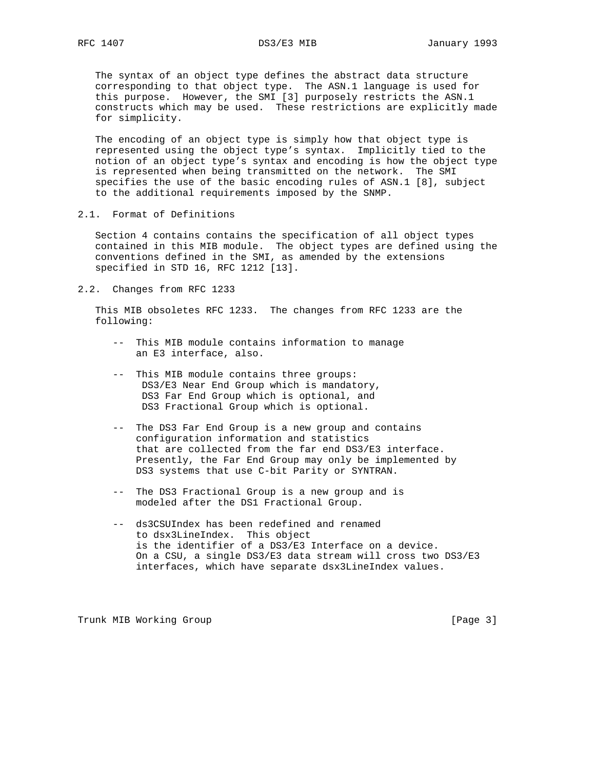The syntax of an object type defines the abstract data structure corresponding to that object type. The ASN.1 language is used for this purpose. However, the SMI [3] purposely restricts the ASN.1 constructs which may be used. These restrictions are explicitly made for simplicity.

 The encoding of an object type is simply how that object type is represented using the object type's syntax. Implicitly tied to the notion of an object type's syntax and encoding is how the object type is represented when being transmitted on the network. The SMI specifies the use of the basic encoding rules of ASN.1 [8], subject to the additional requirements imposed by the SNMP.

2.1. Format of Definitions

 Section 4 contains contains the specification of all object types contained in this MIB module. The object types are defined using the conventions defined in the SMI, as amended by the extensions specified in STD 16, RFC 1212 [13].

2.2. Changes from RFC 1233

 This MIB obsoletes RFC 1233. The changes from RFC 1233 are the following:

- -- This MIB module contains information to manage an E3 interface, also.
- -- This MIB module contains three groups: DS3/E3 Near End Group which is mandatory, DS3 Far End Group which is optional, and DS3 Fractional Group which is optional.
- -- The DS3 Far End Group is a new group and contains configuration information and statistics that are collected from the far end DS3/E3 interface. Presently, the Far End Group may only be implemented by DS3 systems that use C-bit Parity or SYNTRAN.
- -- The DS3 Fractional Group is a new group and is modeled after the DS1 Fractional Group.
- -- ds3CSUIndex has been redefined and renamed to dsx3LineIndex. This object is the identifier of a DS3/E3 Interface on a device. On a CSU, a single DS3/E3 data stream will cross two DS3/E3 interfaces, which have separate dsx3LineIndex values.

Trunk MIB Working Group [Page 3]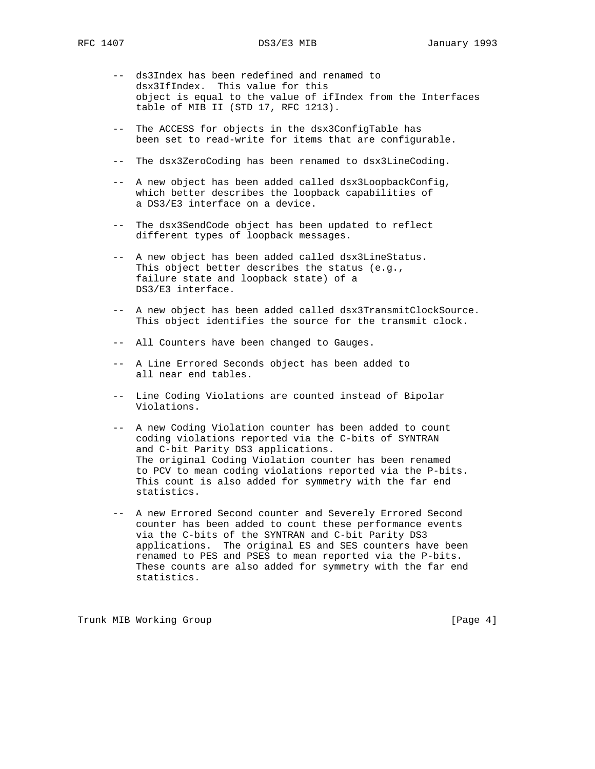- -- ds3Index has been redefined and renamed to dsx3IfIndex. This value for this object is equal to the value of ifIndex from the Interfaces table of MIB II (STD 17, RFC 1213).
- -- The ACCESS for objects in the dsx3ConfigTable has been set to read-write for items that are configurable.
- -- The dsx3ZeroCoding has been renamed to dsx3LineCoding.
- -- A new object has been added called dsx3LoopbackConfig, which better describes the loopback capabilities of a DS3/E3 interface on a device.
- -- The dsx3SendCode object has been updated to reflect different types of loopback messages.
- -- A new object has been added called dsx3LineStatus. This object better describes the status (e.g., failure state and loopback state) of a DS3/E3 interface.
- -- A new object has been added called dsx3TransmitClockSource. This object identifies the source for the transmit clock.
- -- All Counters have been changed to Gauges.
- -- A Line Errored Seconds object has been added to all near end tables.
- -- Line Coding Violations are counted instead of Bipolar Violations.
- -- A new Coding Violation counter has been added to count coding violations reported via the C-bits of SYNTRAN and C-bit Parity DS3 applications. The original Coding Violation counter has been renamed to PCV to mean coding violations reported via the P-bits. This count is also added for symmetry with the far end statistics.
- -- A new Errored Second counter and Severely Errored Second counter has been added to count these performance events via the C-bits of the SYNTRAN and C-bit Parity DS3 applications. The original ES and SES counters have been renamed to PES and PSES to mean reported via the P-bits. These counts are also added for symmetry with the far end statistics.

Trunk MIB Working Group **Example 2018** [Page 4]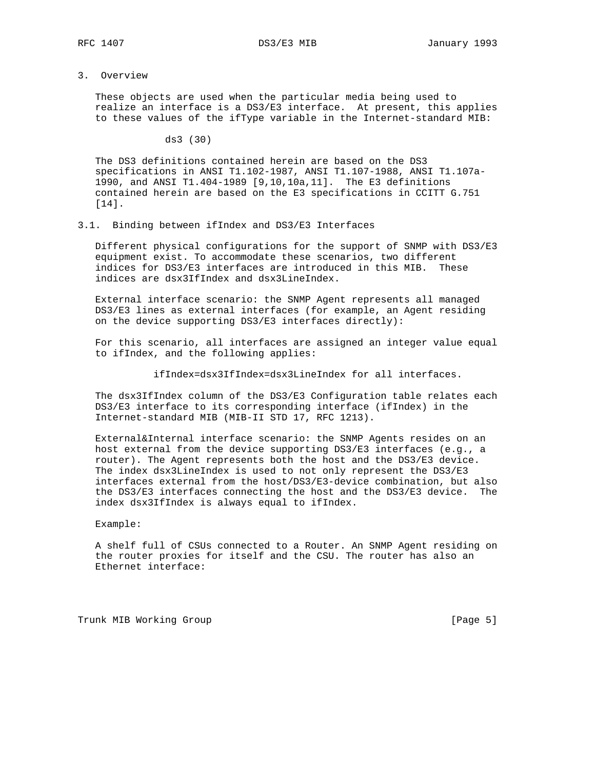3. Overview

 These objects are used when the particular media being used to realize an interface is a DS3/E3 interface. At present, this applies to these values of the ifType variable in the Internet-standard MIB:

ds3 (30)

 The DS3 definitions contained herein are based on the DS3 specifications in ANSI T1.102-1987, ANSI T1.107-1988, ANSI T1.107a- 1990, and ANSI T1.404-1989 [9,10,10a,11]. The E3 definitions contained herein are based on the E3 specifications in CCITT G.751 [14].

3.1. Binding between ifIndex and DS3/E3 Interfaces

 Different physical configurations for the support of SNMP with DS3/E3 equipment exist. To accommodate these scenarios, two different indices for DS3/E3 interfaces are introduced in this MIB. These indices are dsx3IfIndex and dsx3LineIndex.

 External interface scenario: the SNMP Agent represents all managed DS3/E3 lines as external interfaces (for example, an Agent residing on the device supporting DS3/E3 interfaces directly):

 For this scenario, all interfaces are assigned an integer value equal to ifIndex, and the following applies:

ifIndex=dsx3IfIndex=dsx3LineIndex for all interfaces.

 The dsx3IfIndex column of the DS3/E3 Configuration table relates each DS3/E3 interface to its corresponding interface (ifIndex) in the Internet-standard MIB (MIB-II STD 17, RFC 1213).

 External&Internal interface scenario: the SNMP Agents resides on an host external from the device supporting DS3/E3 interfaces (e.g., a router). The Agent represents both the host and the DS3/E3 device. The index dsx3LineIndex is used to not only represent the DS3/E3 interfaces external from the host/DS3/E3-device combination, but also the DS3/E3 interfaces connecting the host and the DS3/E3 device. The index dsx3IfIndex is always equal to ifIndex.

Example:

 A shelf full of CSUs connected to a Router. An SNMP Agent residing on the router proxies for itself and the CSU. The router has also an Ethernet interface:

Trunk MIB Working Group **Example 2018** [Page 5]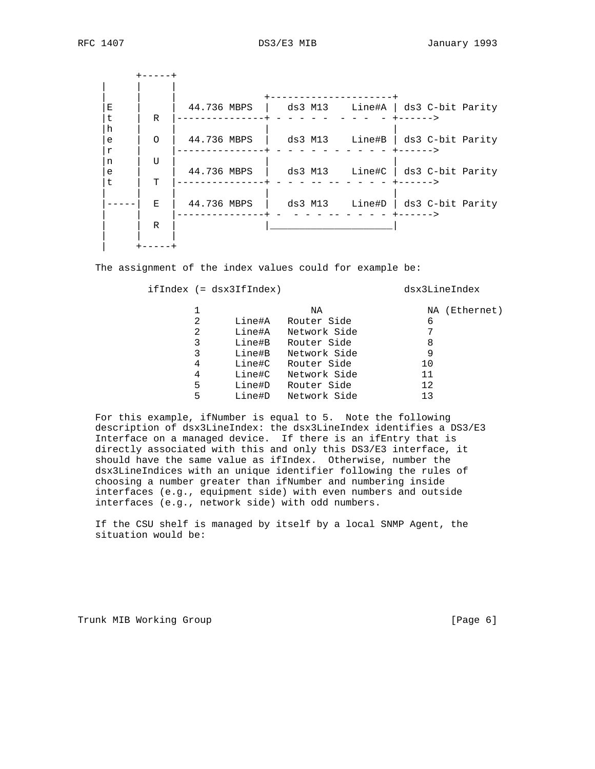+-----+ | | | | | | +---------------------+ |E | | 44.736 MBPS | ds3 M13 Line#A | ds3 C-bit Parity |t | R |---------------+ - - - - - - - - - +------> |h | | | |  $|e|$  | O | 44.736 MBPS | ds3 M13 Line#B | ds3 C-bit Parity |r | |---------------+ - - - - - - - - - - +------>  $|n \mid U \mid$   $|$  $|e|$  | 44.736 MBPS | ds3 M13 Line#C | ds3 C-bit Parity

 | | | | | |-----| E | 44.736 MBPS | ds3 M13 Line#D | ds3 C-bit Parity | | |---------------+ - - - - -- - - - - +------> | | R | |\_\_\_\_\_\_\_\_\_\_\_\_\_\_\_\_\_\_\_\_\_| | | |  $+----+$ 

The assignment of the index values could for example be:

|t | T |---------------+ - - - -- -- - - - - +------>

ifIndex (= dsx3IfIndex) dsx3LineIndex

|   |        | ΝA           | (Ethernet)<br>NA |
|---|--------|--------------|------------------|
| 2 | Line#A | Router Side  | 6                |
| 2 | Line#A | Network Side |                  |
| 3 | Line#B | Router Side  | 8                |
| 3 | Line#B | Network Side | 9                |
| 4 | Line#C | Router Side  | 10               |
| 4 | Line#C | Network Side | 11               |
| 5 | Line#D | Router Side  | 12               |
| 5 | Line#D | Network Side | 13               |
|   |        |              |                  |

 For this example, ifNumber is equal to 5. Note the following description of dsx3LineIndex: the dsx3LineIndex identifies a DS3/E3 Interface on a managed device. If there is an ifEntry that is directly associated with this and only this DS3/E3 interface, it should have the same value as ifIndex. Otherwise, number the dsx3LineIndices with an unique identifier following the rules of choosing a number greater than ifNumber and numbering inside interfaces (e.g., equipment side) with even numbers and outside interfaces (e.g., network side) with odd numbers.

 If the CSU shelf is managed by itself by a local SNMP Agent, the situation would be:

Trunk MIB Working Group **Example 2018** [Page 6]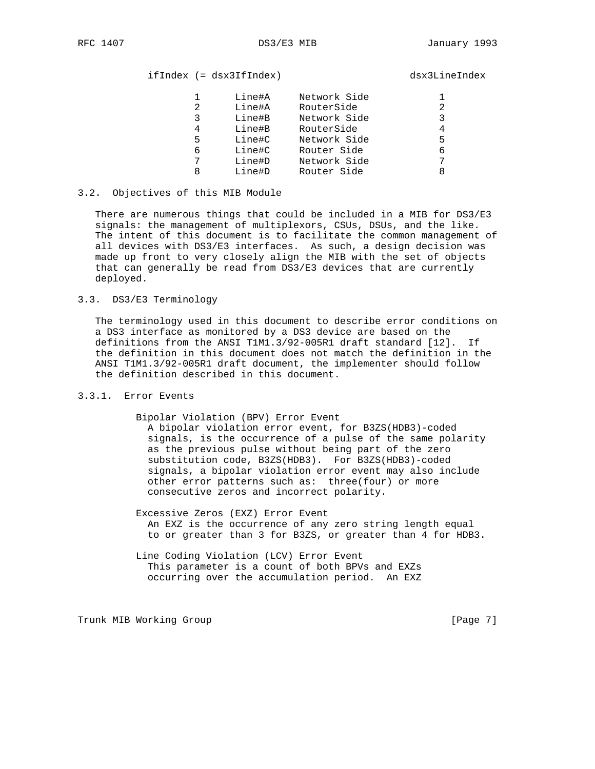# ifIndex (= dsx3IfIndex) dsx3LineIndex

|   | Line#A | Network Side |   |
|---|--------|--------------|---|
| 2 | Line#A | RouterSide   | 2 |
| 3 | Line#B | Network Side | 3 |
| 4 | Line#B | RouterSide   | 4 |
| 5 | Line#C | Network Side | 5 |
| 6 | Line#C | Router Side  | 6 |
|   | Line#D | Network Side | 7 |
| 8 | Line#D | Router Side  | 8 |
|   |        |              |   |

### 3.2. Objectives of this MIB Module

 There are numerous things that could be included in a MIB for DS3/E3 signals: the management of multiplexors, CSUs, DSUs, and the like. The intent of this document is to facilitate the common management of all devices with DS3/E3 interfaces. As such, a design decision was made up front to very closely align the MIB with the set of objects that can generally be read from DS3/E3 devices that are currently deployed.

## 3.3. DS3/E3 Terminology

 The terminology used in this document to describe error conditions on a DS3 interface as monitored by a DS3 device are based on the definitions from the ANSI T1M1.3/92-005R1 draft standard [12]. If the definition in this document does not match the definition in the ANSI T1M1.3/92-005R1 draft document, the implementer should follow the definition described in this document.

## 3.3.1. Error Events

Bipolar Violation (BPV) Error Event

 A bipolar violation error event, for B3ZS(HDB3)-coded signals, is the occurrence of a pulse of the same polarity as the previous pulse without being part of the zero substitution code, B3ZS(HDB3). For B3ZS(HDB3)-coded signals, a bipolar violation error event may also include other error patterns such as: three(four) or more consecutive zeros and incorrect polarity.

 Excessive Zeros (EXZ) Error Event An EXZ is the occurrence of any zero string length equal to or greater than 3 for B3ZS, or greater than 4 for HDB3.

 Line Coding Violation (LCV) Error Event This parameter is a count of both BPVs and EXZs occurring over the accumulation period. An EXZ

Trunk MIB Working Group **Example 2018** [Page 7]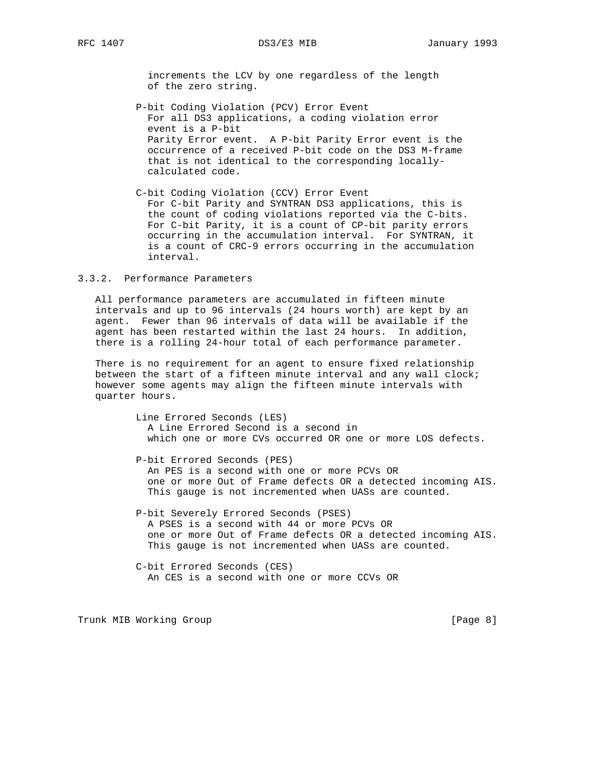increments the LCV by one regardless of the length of the zero string.

- P-bit Coding Violation (PCV) Error Event For all DS3 applications, a coding violation error event is a P-bit Parity Error event. A P-bit Parity Error event is the occurrence of a received P-bit code on the DS3 M-frame that is not identical to the corresponding locally calculated code.
- C-bit Coding Violation (CCV) Error Event For C-bit Parity and SYNTRAN DS3 applications, this is the count of coding violations reported via the C-bits. For C-bit Parity, it is a count of CP-bit parity errors occurring in the accumulation interval. For SYNTRAN, it is a count of CRC-9 errors occurring in the accumulation interval.

### 3.3.2. Performance Parameters

 All performance parameters are accumulated in fifteen minute intervals and up to 96 intervals (24 hours worth) are kept by an agent. Fewer than 96 intervals of data will be available if the agent has been restarted within the last 24 hours. In addition, there is a rolling 24-hour total of each performance parameter.

 There is no requirement for an agent to ensure fixed relationship between the start of a fifteen minute interval and any wall clock; however some agents may align the fifteen minute intervals with quarter hours.

> Line Errored Seconds (LES) A Line Errored Second is a second in which one or more CVs occurred OR one or more LOS defects.

 P-bit Errored Seconds (PES) An PES is a second with one or more PCVs OR one or more Out of Frame defects OR a detected incoming AIS. This gauge is not incremented when UASs are counted.

 P-bit Severely Errored Seconds (PSES) A PSES is a second with 44 or more PCVs OR one or more Out of Frame defects OR a detected incoming AIS. This gauge is not incremented when UASs are counted.

 C-bit Errored Seconds (CES) An CES is a second with one or more CCVs OR

Trunk MIB Working Group **Example 2018** [Page 8]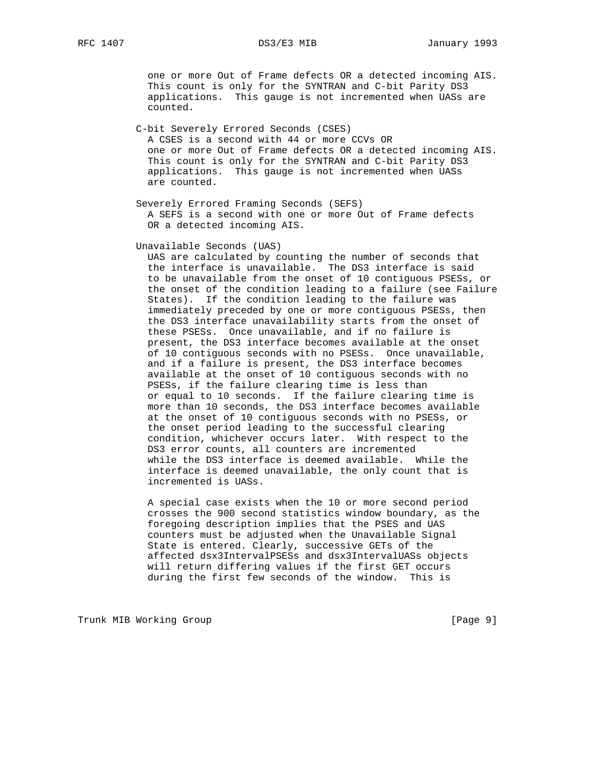one or more Out of Frame defects OR a detected incoming AIS. This count is only for the SYNTRAN and C-bit Parity DS3 applications. This gauge is not incremented when UASs are counted.

 C-bit Severely Errored Seconds (CSES) A CSES is a second with 44 or more CCVs OR one or more Out of Frame defects OR a detected incoming AIS. This count is only for the SYNTRAN and C-bit Parity DS3 applications. This gauge is not incremented when UASs are counted.

 Severely Errored Framing Seconds (SEFS) A SEFS is a second with one or more Out of Frame defects OR a detected incoming AIS.

### Unavailable Seconds (UAS)

 UAS are calculated by counting the number of seconds that the interface is unavailable. The DS3 interface is said to be unavailable from the onset of 10 contiguous PSESs, or the onset of the condition leading to a failure (see Failure States). If the condition leading to the failure was immediately preceded by one or more contiguous PSESs, then the DS3 interface unavailability starts from the onset of these PSESs. Once unavailable, and if no failure is present, the DS3 interface becomes available at the onset of 10 contiguous seconds with no PSESs. Once unavailable, and if a failure is present, the DS3 interface becomes available at the onset of 10 contiguous seconds with no PSESs, if the failure clearing time is less than or equal to 10 seconds. If the failure clearing time is more than 10 seconds, the DS3 interface becomes available at the onset of 10 contiguous seconds with no PSESs, or the onset period leading to the successful clearing condition, whichever occurs later. With respect to the DS3 error counts, all counters are incremented while the DS3 interface is deemed available. While the interface is deemed unavailable, the only count that is incremented is UASs.

 A special case exists when the 10 or more second period crosses the 900 second statistics window boundary, as the foregoing description implies that the PSES and UAS counters must be adjusted when the Unavailable Signal State is entered. Clearly, successive GETs of the affected dsx3IntervalPSESs and dsx3IntervalUASs objects will return differing values if the first GET occurs during the first few seconds of the window. This is

Trunk MIB Working Group **Example 2018** [Page 9]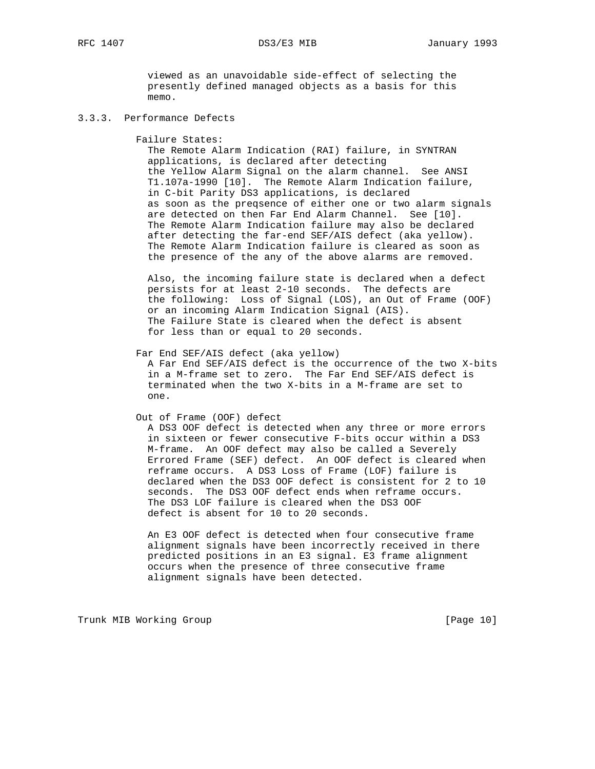viewed as an unavoidable side-effect of selecting the presently defined managed objects as a basis for this memo.

## 3.3.3. Performance Defects

Failure States:

 The Remote Alarm Indication (RAI) failure, in SYNTRAN applications, is declared after detecting the Yellow Alarm Signal on the alarm channel. See ANSI T1.107a-1990 [10]. The Remote Alarm Indication failure, in C-bit Parity DS3 applications, is declared as soon as the preqsence of either one or two alarm signals are detected on then Far End Alarm Channel. See [10]. The Remote Alarm Indication failure may also be declared after detecting the far-end SEF/AIS defect (aka yellow). The Remote Alarm Indication failure is cleared as soon as the presence of the any of the above alarms are removed.

 Also, the incoming failure state is declared when a defect persists for at least 2-10 seconds. The defects are the following: Loss of Signal (LOS), an Out of Frame (OOF) or an incoming Alarm Indication Signal (AIS). The Failure State is cleared when the defect is absent for less than or equal to 20 seconds.

Far End SEF/AIS defect (aka yellow)

 A Far End SEF/AIS defect is the occurrence of the two X-bits in a M-frame set to zero. The Far End SEF/AIS defect is terminated when the two X-bits in a M-frame are set to one.

## Out of Frame (OOF) defect

 A DS3 OOF defect is detected when any three or more errors in sixteen or fewer consecutive F-bits occur within a DS3 M-frame. An OOF defect may also be called a Severely Errored Frame (SEF) defect. An OOF defect is cleared when reframe occurs. A DS3 Loss of Frame (LOF) failure is declared when the DS3 OOF defect is consistent for 2 to 10 seconds. The DS3 OOF defect ends when reframe occurs. The DS3 LOF failure is cleared when the DS3 OOF defect is absent for 10 to 20 seconds.

 An E3 OOF defect is detected when four consecutive frame alignment signals have been incorrectly received in there predicted positions in an E3 signal. E3 frame alignment occurs when the presence of three consecutive frame alignment signals have been detected.

Trunk MIB Working Group **Example 2018** [Page 10]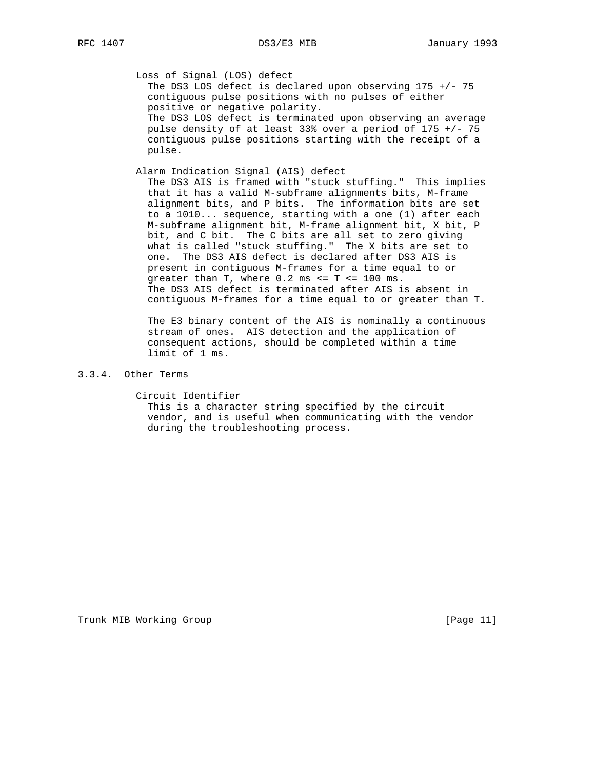Loss of Signal (LOS) defect

 The DS3 LOS defect is declared upon observing 175 +/- 75 contiguous pulse positions with no pulses of either positive or negative polarity. The DS3 LOS defect is terminated upon observing an average pulse density of at least 33% over a period of 175 +/- 75 contiguous pulse positions starting with the receipt of a pulse.

Alarm Indication Signal (AIS) defect

 The DS3 AIS is framed with "stuck stuffing." This implies that it has a valid M-subframe alignments bits, M-frame alignment bits, and P bits. The information bits are set to a 1010... sequence, starting with a one (1) after each M-subframe alignment bit, M-frame alignment bit, X bit, P bit, and C bit. The C bits are all set to zero giving what is called "stuck stuffing." The X bits are set to one. The DS3 AIS defect is declared after DS3 AIS is present in contiguous M-frames for a time equal to or greater than  $T$ , where  $0.2$  ms  $\leq T \leq 100$  ms. The DS3 AIS defect is terminated after AIS is absent in contiguous M-frames for a time equal to or greater than T.

 The E3 binary content of the AIS is nominally a continuous stream of ones. AIS detection and the application of consequent actions, should be completed within a time limit of 1 ms.

# 3.3.4. Other Terms

 Circuit Identifier This is a character string specified by the circuit vendor, and is useful when communicating with the vendor during the troubleshooting process.

Trunk MIB Working Group **Example 2018** [Page 11]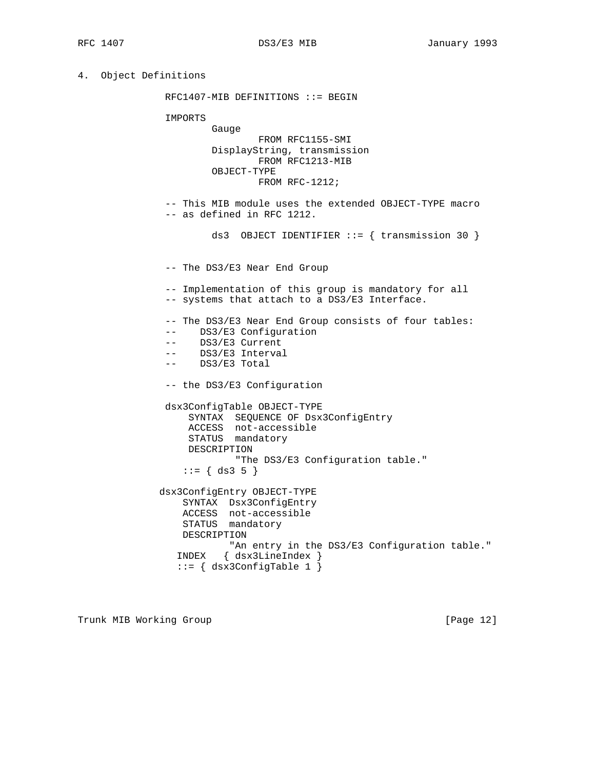4. Object Definitions

 RFC1407-MIB DEFINITIONS ::= BEGIN IMPORTS Gauge FROM RFC1155-SMI DisplayString, transmission FROM RFC1213-MIB OBJECT-TYPE FROM RFC-1212; -- This MIB module uses the extended OBJECT-TYPE macro -- as defined in RFC 1212. ds3 OBJECT IDENTIFIER ::= { transmission 30 } -- The DS3/E3 Near End Group -- Implementation of this group is mandatory for all -- systems that attach to a DS3/E3 Interface. -- The DS3/E3 Near End Group consists of four tables: -- DS3/E3 Configuration -- DS3/E3 Current -- DS3/E3 Interval -- DS3/E3 Total -- the DS3/E3 Configuration dsx3ConfigTable OBJECT-TYPE SYNTAX SEQUENCE OF Dsx3ConfigEntry ACCESS not-accessible STATUS mandatory DESCRIPTION "The DS3/E3 Configuration table."  $::= \{ ds3 5 \}$  dsx3ConfigEntry OBJECT-TYPE SYNTAX Dsx3ConfigEntry ACCESS not-accessible STATUS mandatory DESCRIPTION "An entry in the DS3/E3 Configuration table." INDEX { dsx3LineIndex } ::= { dsx3ConfigTable 1 }

Trunk MIB Working Group **Example 20** 12 and 10 and 10 and 10 and 10 and 10 and 10 and 10 and 10 and 10 and 10 and 10 and 10 and 10 and 10 and 10 and 10 and 10 and 10 and 10 and 10 and 10 and 10 and 10 and 10 and 10 and 10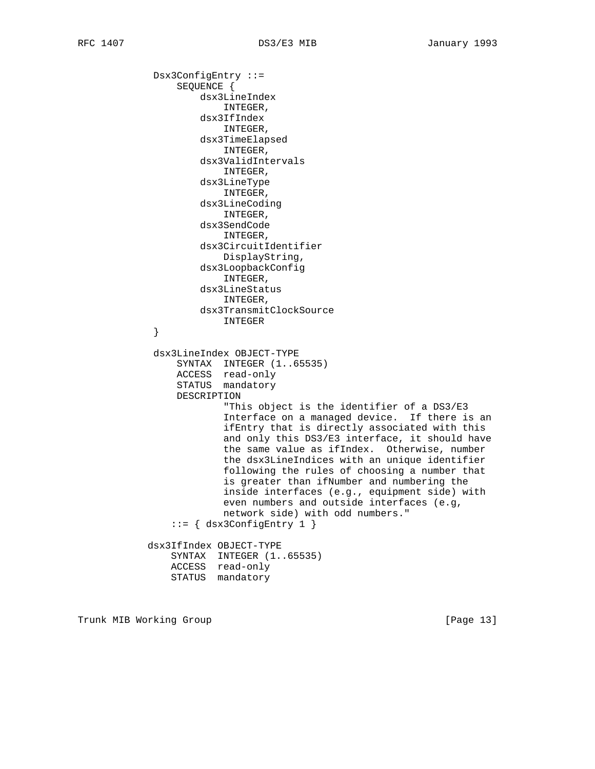Dsx3ConfigEntry ::= SEQUENCE { dsx3LineIndex INTEGER, dsx3IfIndex INTEGER, dsx3TimeElapsed INTEGER, dsx3ValidIntervals INTEGER, dsx3LineType INTEGER, dsx3LineCoding INTEGER, dsx3SendCode INTEGER, dsx3CircuitIdentifier DisplayString, dsx3LoopbackConfig INTEGER, dsx3LineStatus INTEGER, dsx3TransmitClockSource INTEGER } dsx3LineIndex OBJECT-TYPE SYNTAX INTEGER (1..65535) ACCESS read-only STATUS mandatory DESCRIPTION "This object is the identifier of a DS3/E3 Interface on a managed device. If there is an ifEntry that is directly associated with this and only this DS3/E3 interface, it should have the same value as ifIndex. Otherwise, number the dsx3LineIndices with an unique identifier following the rules of choosing a number that is greater than ifNumber and numbering the inside interfaces (e.g., equipment side) with even numbers and outside interfaces (e.g, network side) with odd numbers." ::= { dsx3ConfigEntry 1 } dsx3IfIndex OBJECT-TYPE SYNTAX INTEGER (1..65535) ACCESS read-only STATUS mandatory

Trunk MIB Working Group **Example 2018** [Page 13]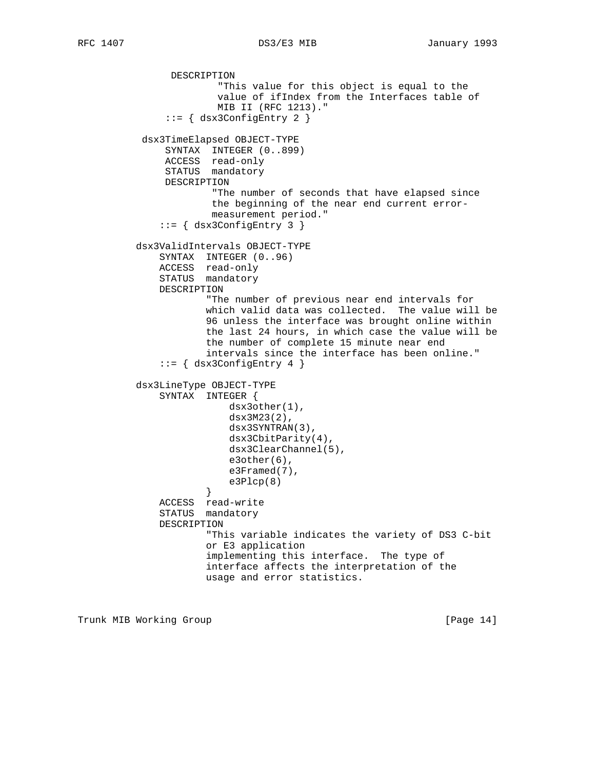DESCRIPTION "This value for this object is equal to the value of ifIndex from the Interfaces table of MIB II (RFC 1213)."  $::=$   $\{$  dsx3ConfigEntry 2  $\}$  dsx3TimeElapsed OBJECT-TYPE SYNTAX INTEGER (0..899) ACCESS read-only STATUS mandatory DESCRIPTION "The number of seconds that have elapsed since the beginning of the near end current error measurement period."  $::=$   $\{$  dsx3ConfigEntry 3  $\}$  dsx3ValidIntervals OBJECT-TYPE SYNTAX INTEGER (0..96) ACCESS read-only STATUS mandatory DESCRIPTION "The number of previous near end intervals for which valid data was collected. The value will be 96 unless the interface was brought online within the last 24 hours, in which case the value will be the number of complete 15 minute near end intervals since the interface has been online."  $::=$   $\{$  dsx3ConfigEntry 4  $\}$  dsx3LineType OBJECT-TYPE SYNTAX INTEGER { dsx3other(1), dsx3M23(2), dsx3SYNTRAN(3), dsx3CbitParity(4), dsx3ClearChannel(5), e3other(6), e3Framed(7),  $e3P1cp(8)$  } ACCESS read-write STATUS mandatory DESCRIPTION "This variable indicates the variety of DS3 C-bit or E3 application implementing this interface. The type of interface affects the interpretation of the usage and error statistics.

Trunk MIB Working Group **Example 2018** [Page 14]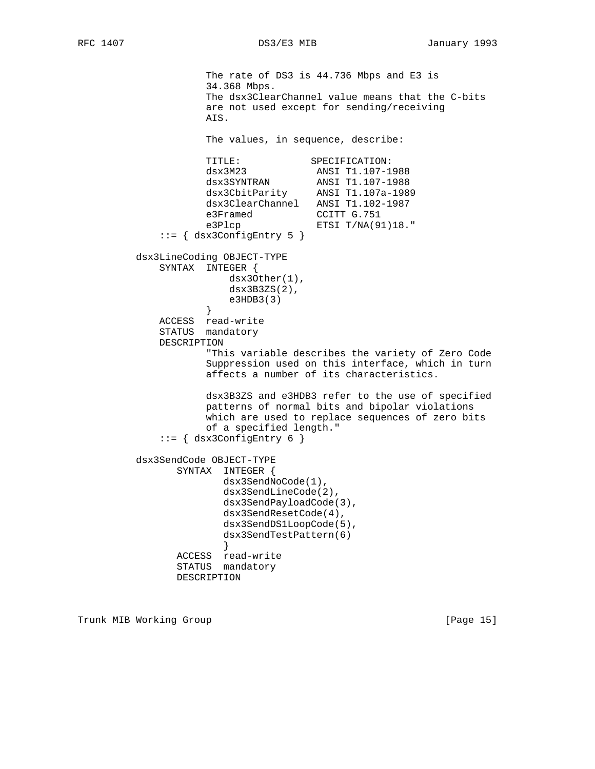```
 The rate of DS3 is 44.736 Mbps and E3 is
                    34.368 Mbps.
                    The dsx3ClearChannel value means that the C-bits
                    are not used except for sending/receiving
                    AIS.
                    The values, in sequence, describe:
                   TITLE: SPECIFICATION:
                   dsx3M23 <br>dsx3SYNTRAN ANSI T1.107-1988<br>dsx3Ckiir
 dsx3SYNTRAN ANSI T1.107-1988
 dsx3CbitParity ANSI T1.107a-1989
                    dsx3ClearChannel ANSI T1.102-1987
e3Framed CCITT G.751
e3Plcp ETSI T/NA(91)18."
             ::= { dsx3ConfigEntry 5 }
         dsx3LineCoding OBJECT-TYPE
             SYNTAX INTEGER {
                      dsx3Other(1),
                        dsx3B3ZS(2),
                   e3HDB3(3) }
             ACCESS read-write
             STATUS mandatory
             DESCRIPTION
                    "This variable describes the variety of Zero Code
                    Suppression used on this interface, which in turn
                    affects a number of its characteristics.
                    dsx3B3ZS and e3HDB3 refer to the use of specified
                    patterns of normal bits and bipolar violations
                    which are used to replace sequences of zero bits
                    of a specified length."
             ::= { dsx3ConfigEntry 6 }
         dsx3SendCode OBJECT-TYPE
                SYNTAX INTEGER {
                      dsx3SendNoCode(1),
                       dsx3SendLineCode(2),
                       dsx3SendPayloadCode(3),
                       dsx3SendResetCode(4),
                       dsx3SendDS1LoopCode(5),
                       dsx3SendTestPattern(6)
 }
                ACCESS read-write
                STATUS mandatory
                DESCRIPTION
```
Trunk MIB Working Group **Example 2018** [Page 15]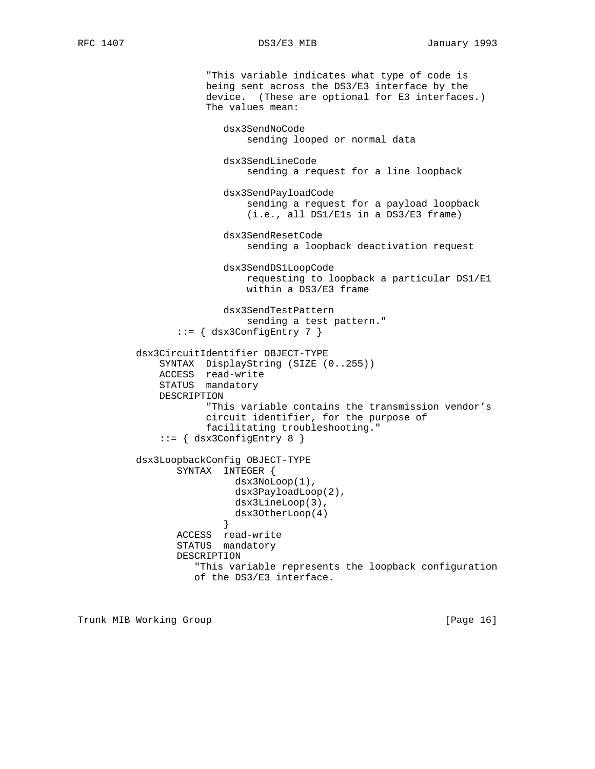RFC 1407 DS3/E3 MIB January 1993

 "This variable indicates what type of code is being sent across the DS3/E3 interface by the device. (These are optional for E3 interfaces.) The values mean: dsx3SendNoCode sending looped or normal data dsx3SendLineCode sending a request for a line loopback dsx3SendPayloadCode sending a request for a payload loopback (i.e., all DS1/E1s in a DS3/E3 frame) dsx3SendResetCode sending a loopback deactivation request dsx3SendDS1LoopCode requesting to loopback a particular DS1/E1 within a DS3/E3 frame dsx3SendTestPattern sending a test pattern." ::= { dsx3ConfigEntry 7 } dsx3CircuitIdentifier OBJECT-TYPE SYNTAX DisplayString (SIZE (0..255)) ACCESS read-write STATUS mandatory DESCRIPTION "This variable contains the transmission vendor's circuit identifier, for the purpose of facilitating troubleshooting." ::= { dsx3ConfigEntry 8 } dsx3LoopbackConfig OBJECT-TYPE SYNTAX INTEGER { dsx3NoLoop(1), dsx3PayloadLoop(2), dsx3LineLoop(3), dsx3OtherLoop(4) } ACCESS read-write STATUS mandatory DESCRIPTION "This variable represents the loopback configuration of the DS3/E3 interface.

Trunk MIB Working Group **Example 2018** [Page 16]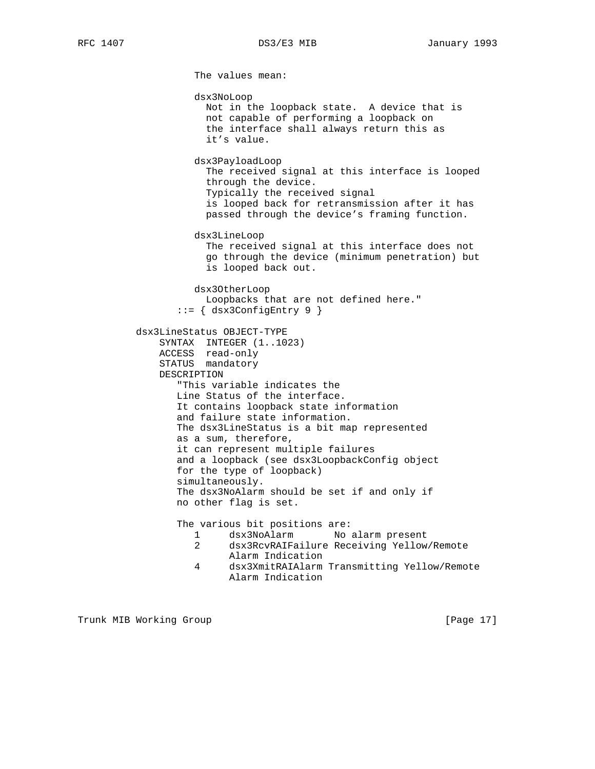The values mean: dsx3NoLoop Not in the loopback state. A device that is not capable of performing a loopback on the interface shall always return this as it's value. dsx3PayloadLoop The received signal at this interface is looped through the device. Typically the received signal is looped back for retransmission after it has passed through the device's framing function. dsx3LineLoop The received signal at this interface does not go through the device (minimum penetration) but is looped back out. dsx3OtherLoop Loopbacks that are not defined here." ::= { dsx3ConfigEntry 9 } dsx3LineStatus OBJECT-TYPE SYNTAX INTEGER (1..1023) ACCESS read-only STATUS mandatory DESCRIPTION "This variable indicates the Line Status of the interface. It contains loopback state information and failure state information. The dsx3LineStatus is a bit map represented as a sum, therefore, it can represent multiple failures and a loopback (see dsx3LoopbackConfig object for the type of loopback) simultaneously. The dsx3NoAlarm should be set if and only if no other flag is set. The various bit positions are: 1 dsx3NoAlarm No alarm present 2 dsx3RcvRAIFailure Receiving Yellow/Remote Alarm Indication 4 dsx3XmitRAIAlarm Transmitting Yellow/Remote

Alarm Indication

Trunk MIB Working Group **Example 2018** [Page 17]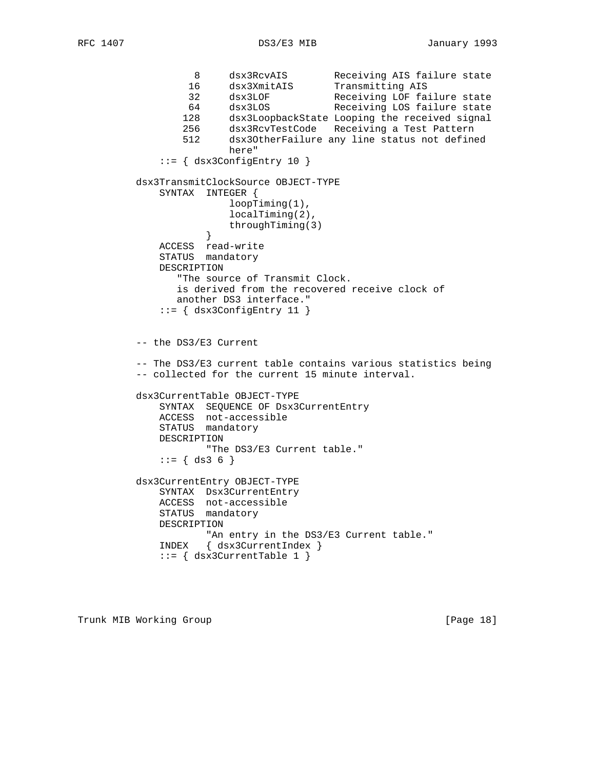8 dsx3RcvAIS Receiving AIS failure state 16 dsx3XmitAIS Transmitting AIS 32 dsx3LOF Receiving LOF failure state 64 dsx3LOS Receiving LOS failure state 128 dsx3LoopbackState Looping the received signal 256 dsx3RcvTestCode Receiving a Test Pattern 512 dsx3OtherFailure any line status not defined here"  $::=$   $\{$  dsx3ConfigEntry 10  $\}$  dsx3TransmitClockSource OBJECT-TYPE SYNTAX INTEGER { loopTiming(1), localTiming(2), throughTiming(3)<br>} } ACCESS read-write STATUS mandatory DESCRIPTION "The source of Transmit Clock. is derived from the recovered receive clock of another DS3 interface."  $::=$  { dsx3ConfigEntry 11 } -- the DS3/E3 Current -- The DS3/E3 current table contains various statistics being -- collected for the current 15 minute interval. dsx3CurrentTable OBJECT-TYPE SYNTAX SEQUENCE OF Dsx3CurrentEntry ACCESS not-accessible STATUS mandatory DESCRIPTION "The DS3/E3 Current table."  $::= \{ ds3 6 \}$  dsx3CurrentEntry OBJECT-TYPE SYNTAX Dsx3CurrentEntry ACCESS not-accessible STATUS mandatory DESCRIPTION "An entry in the DS3/E3 Current table." INDEX { dsx3CurrentIndex } ::= { dsx3CurrentTable 1 }

Trunk MIB Working Group **Example 2018** [Page 18]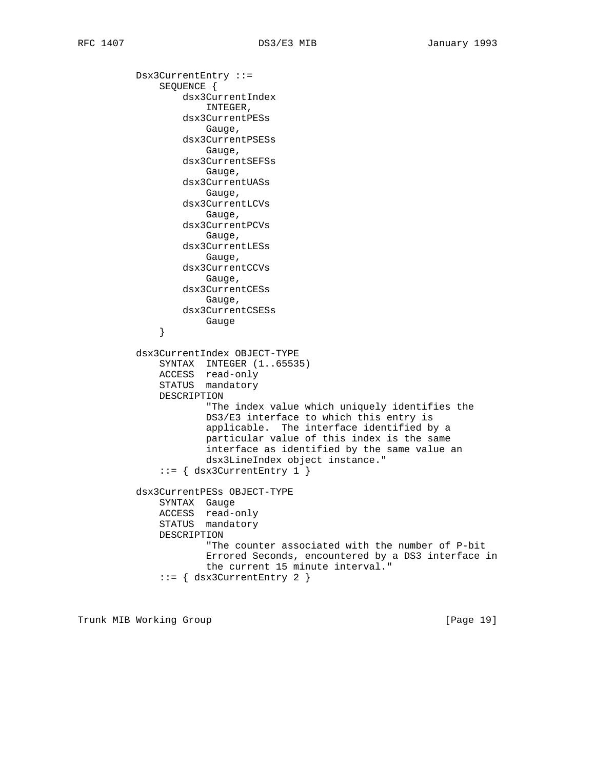Dsx3CurrentEntry ::= SEQUENCE { dsx3CurrentIndex INTEGER, dsx3CurrentPESs Gauge, dsx3CurrentPSESs Gauge, dsx3CurrentSEFSs Gauge, dsx3CurrentUASs Gauge, dsx3CurrentLCVs Gauge, dsx3CurrentPCVs Gauge, dsx3CurrentLESs Gauge, dsx3CurrentCCVs Gauge, dsx3CurrentCESs Gauge, dsx3CurrentCSESs }<br>}<br>} } dsx3CurrentIndex OBJECT-TYPE SYNTAX INTEGER (1..65535) ACCESS read-only STATUS mandatory DESCRIPTION "The index value which uniquely identifies the DS3/E3 interface to which this entry is applicable. The interface identified by a particular value of this index is the same interface as identified by the same value an dsx3LineIndex object instance."  $::= \{ dsx3CurrentEntry 1 \}$  dsx3CurrentPESs OBJECT-TYPE SYNTAX Gauge ACCESS read-only STATUS mandatory DESCRIPTION "The counter associated with the number of P-bit Errored Seconds, encountered by a DS3 interface in the current 15 minute interval." ::= { dsx3CurrentEntry 2 }

Trunk MIB Working Group **Example 2018** [Page 19]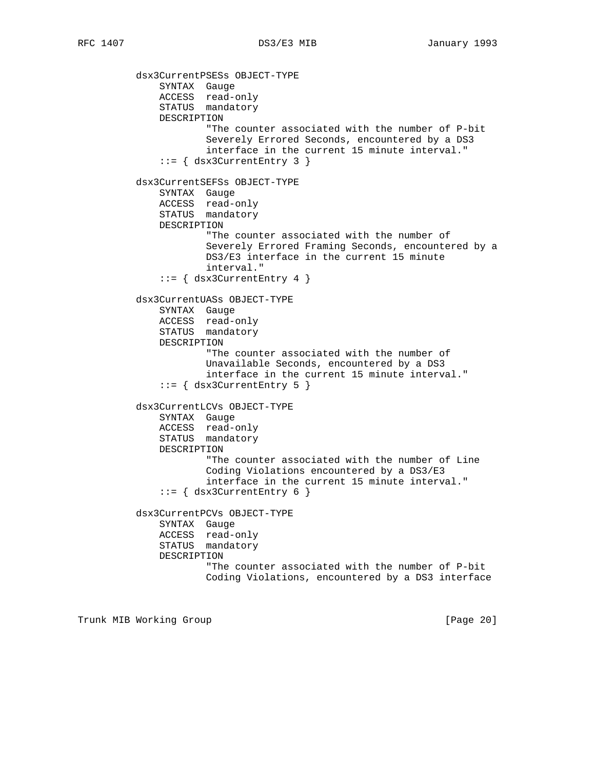dsx3CurrentPSESs OBJECT-TYPE SYNTAX Gauge ACCESS read-only STATUS mandatory DESCRIPTION "The counter associated with the number of P-bit Severely Errored Seconds, encountered by a DS3 interface in the current 15 minute interval." ::= { dsx3CurrentEntry 3 } dsx3CurrentSEFSs OBJECT-TYPE SYNTAX Gauge ACCESS read-only STATUS mandatory DESCRIPTION "The counter associated with the number of Severely Errored Framing Seconds, encountered by a DS3/E3 interface in the current 15 minute interval."  $::=$  { dsx3CurrentEntry 4 } dsx3CurrentUASs OBJECT-TYPE SYNTAX Gauge ACCESS read-only STATUS mandatory DESCRIPTION "The counter associated with the number of Unavailable Seconds, encountered by a DS3 interface in the current 15 minute interval." ::= { dsx3CurrentEntry 5 } dsx3CurrentLCVs OBJECT-TYPE SYNTAX Gauge ACCESS read-only STATUS mandatory DESCRIPTION "The counter associated with the number of Line Coding Violations encountered by a DS3/E3 interface in the current 15 minute interval." ::= { dsx3CurrentEntry 6 } dsx3CurrentPCVs OBJECT-TYPE SYNTAX Gauge ACCESS read-only STATUS mandatory DESCRIPTION "The counter associated with the number of P-bit Coding Violations, encountered by a DS3 interface

Trunk MIB Working Group **Example 20** 1 and 20 1 and 20 1 and 20 1 and 20 1 and 20 1 and 20 1 and 20 1 and 20 1 and 20 1 and 20 1 and 20 1 and 20 1 and 20 1 and 20 1 and 20 1 and 20 1 and 20 2 2 and 20 2 2 and 20 2 2 and 20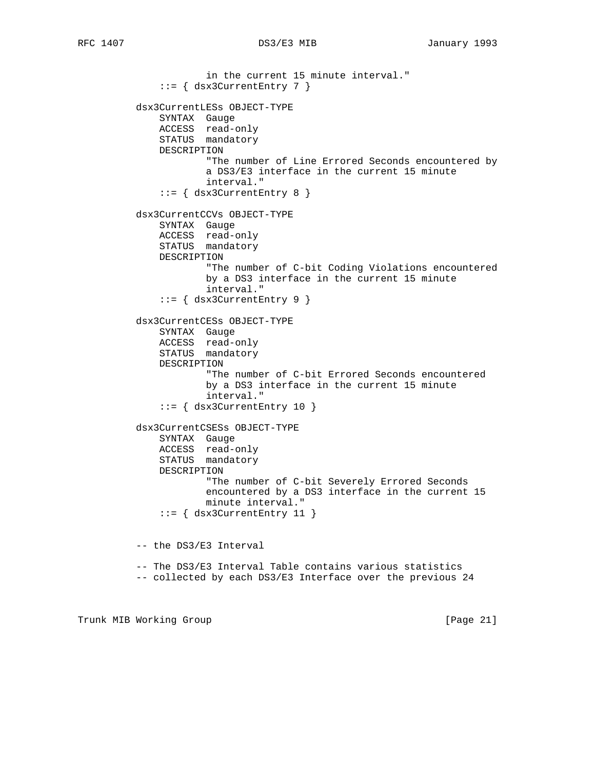in the current 15 minute interval."  $::=$  { dsx3CurrentEntry 7 } dsx3CurrentLESs OBJECT-TYPE SYNTAX Gauge ACCESS read-only STATUS mandatory DESCRIPTION "The number of Line Errored Seconds encountered by a DS3/E3 interface in the current 15 minute interval." ::= { dsx3CurrentEntry 8 } dsx3CurrentCCVs OBJECT-TYPE SYNTAX Gauge ACCESS read-only STATUS mandatory DESCRIPTION "The number of C-bit Coding Violations encountered by a DS3 interface in the current 15 minute interval." ::= { dsx3CurrentEntry 9 } dsx3CurrentCESs OBJECT-TYPE SYNTAX Gauge ACCESS read-only STATUS mandatory DESCRIPTION "The number of C-bit Errored Seconds encountered by a DS3 interface in the current 15 minute interval."  $::=$  { dsx3CurrentEntry 10 } dsx3CurrentCSESs OBJECT-TYPE SYNTAX Gauge ACCESS read-only STATUS mandatory DESCRIPTION "The number of C-bit Severely Errored Seconds encountered by a DS3 interface in the current 15 minute interval." ::= { dsx3CurrentEntry 11 } -- the DS3/E3 Interval -- The DS3/E3 Interval Table contains various statistics -- collected by each DS3/E3 Interface over the previous 24

Trunk MIB Working Group **Example 21** and the control of the control of  $[Page 21]$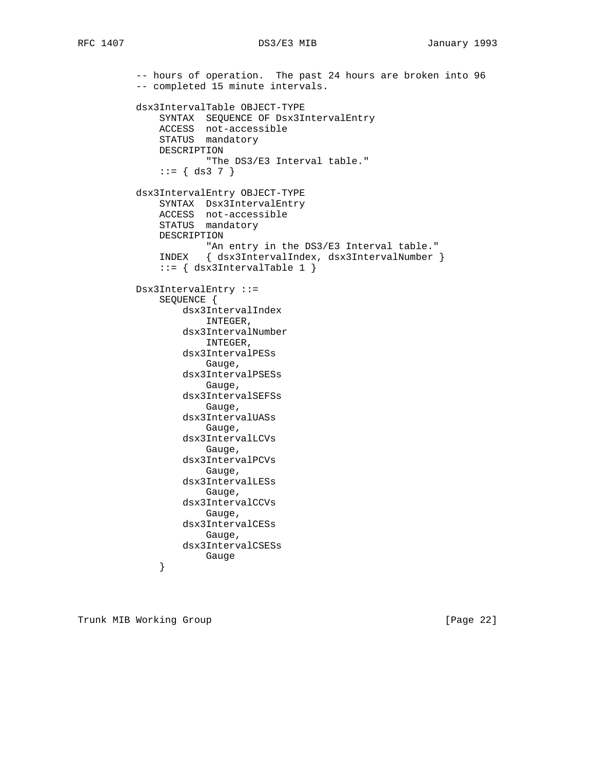```
 -- hours of operation. The past 24 hours are broken into 96
          -- completed 15 minute intervals.
          dsx3IntervalTable OBJECT-TYPE
 SYNTAX SEQUENCE OF Dsx3IntervalEntry
 ACCESS not-accessible
              STATUS mandatory
              DESCRIPTION
                      "The DS3/E3 Interval table."
             ::= \{ ds3 7 \} dsx3IntervalEntry OBJECT-TYPE
              SYNTAX Dsx3IntervalEntry
 ACCESS not-accessible
STATUS mandatory
              DESCRIPTION
                     "An entry in the DS3/E3 Interval table."
              INDEX { dsx3IntervalIndex, dsx3IntervalNumber }
              ::= { dsx3IntervalTable 1 }
          Dsx3IntervalEntry ::=
              SEQUENCE {
                  dsx3IntervalIndex
                     INTEGER,
                  dsx3IntervalNumber
                      INTEGER,
                  dsx3IntervalPESs
                     Gauge,
                  dsx3IntervalPSESs
                     Gauge,
                  dsx3IntervalSEFSs
                     Gauge,
                  dsx3IntervalUASs
                     Gauge,
                  dsx3IntervalLCVs
                     Gauge,
                  dsx3IntervalPCVs
                     Gauge,
                  dsx3IntervalLESs
                     Gauge,
                  dsx3IntervalCCVs
                     Gauge,
                  dsx3IntervalCESs
                     Gauge,
                  dsx3IntervalCSESs
             }<br>}<br>}
 }
```
Trunk MIB Working Group **Example 22** and the set of the set of  $[Page 22]$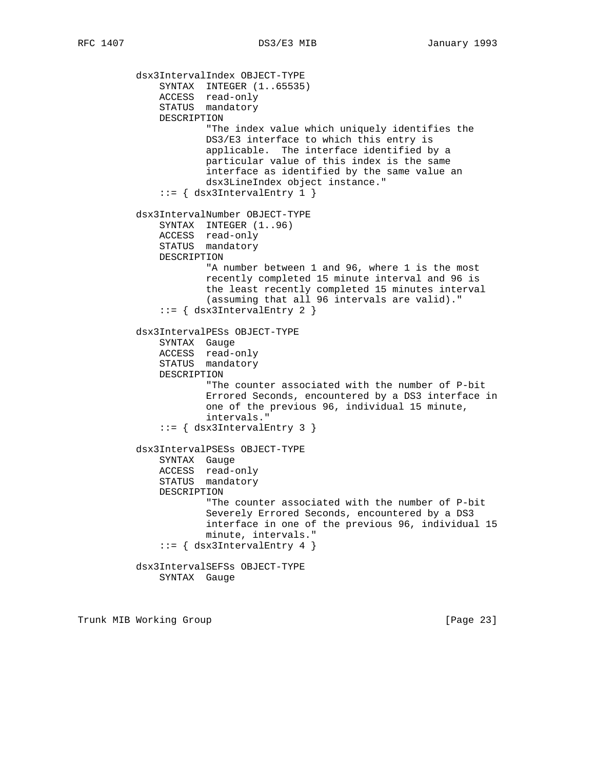dsx3IntervalIndex OBJECT-TYPE SYNTAX INTEGER (1..65535) ACCESS read-only STATUS mandatory DESCRIPTION "The index value which uniquely identifies the DS3/E3 interface to which this entry is applicable. The interface identified by a particular value of this index is the same interface as identified by the same value an dsx3LineIndex object instance." ::= { dsx3IntervalEntry 1 } dsx3IntervalNumber OBJECT-TYPE SYNTAX INTEGER  $(1..96)$  ACCESS read-only STATUS mandatory DESCRIPTION "A number between 1 and 96, where 1 is the most recently completed 15 minute interval and 96 is the least recently completed 15 minutes interval (assuming that all 96 intervals are valid)." ::= { dsx3IntervalEntry 2 } dsx3IntervalPESs OBJECT-TYPE SYNTAX Gauge ACCESS read-only STATUS mandatory DESCRIPTION "The counter associated with the number of P-bit Errored Seconds, encountered by a DS3 interface in one of the previous 96, individual 15 minute, intervals." ::= { dsx3IntervalEntry 3 } dsx3IntervalPSESs OBJECT-TYPE SYNTAX Gauge ACCESS read-only STATUS mandatory DESCRIPTION "The counter associated with the number of P-bit Severely Errored Seconds, encountered by a DS3 interface in one of the previous 96, individual 15 minute, intervals."  $::=$  { dsx3IntervalEntry 4 } dsx3IntervalSEFSs OBJECT-TYPE SYNTAX Gauge

Trunk MIB Working Group **Example 23** and the control of the control of the control of  $[Page 23]$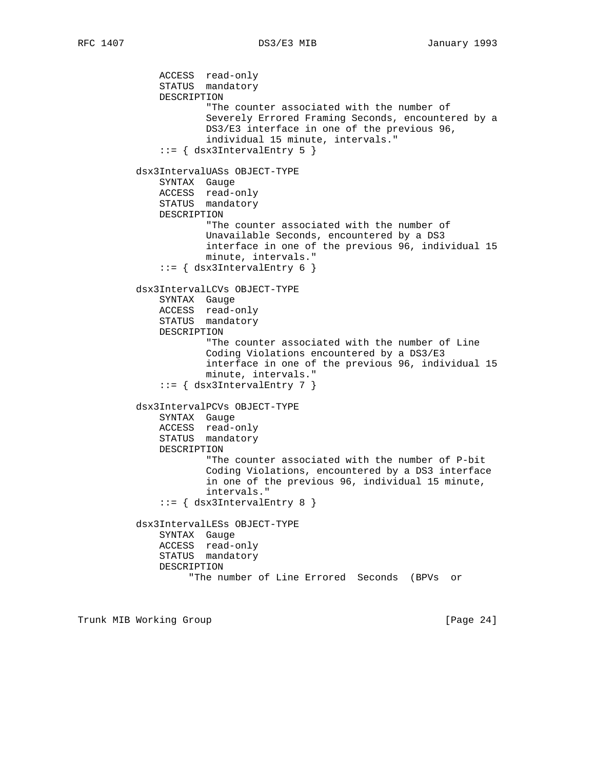ACCESS read-only STATUS mandatory DESCRIPTION "The counter associated with the number of Severely Errored Framing Seconds, encountered by a DS3/E3 interface in one of the previous 96, individual 15 minute, intervals."  $::=$  { dsx3IntervalEntry 5 } dsx3IntervalUASs OBJECT-TYPE SYNTAX Gauge ACCESS read-only STATUS mandatory DESCRIPTION "The counter associated with the number of Unavailable Seconds, encountered by a DS3 interface in one of the previous 96, individual 15 minute, intervals." ::= { dsx3IntervalEntry 6 } dsx3IntervalLCVs OBJECT-TYPE SYNTAX Gauge ACCESS read-only STATUS mandatory DESCRIPTION "The counter associated with the number of Line Coding Violations encountered by a DS3/E3 interface in one of the previous 96, individual 15 minute, intervals." ::= { dsx3IntervalEntry 7 } dsx3IntervalPCVs OBJECT-TYPE SYNTAX Gauge ACCESS read-only STATUS mandatory DESCRIPTION "The counter associated with the number of P-bit Coding Violations, encountered by a DS3 interface in one of the previous 96, individual 15 minute, intervals."  $::=$   $\{$  dsx3IntervalEntry 8  $\}$  dsx3IntervalLESs OBJECT-TYPE SYNTAX Gauge ACCESS read-only STATUS mandatory DESCRIPTION "The number of Line Errored Seconds (BPVs or

Trunk MIB Working Group **Example 24** and the set of the set of the set of the set of the set of the set of the set of the set of the set of the set of the set of the set of the set of the set of the set of the set of the s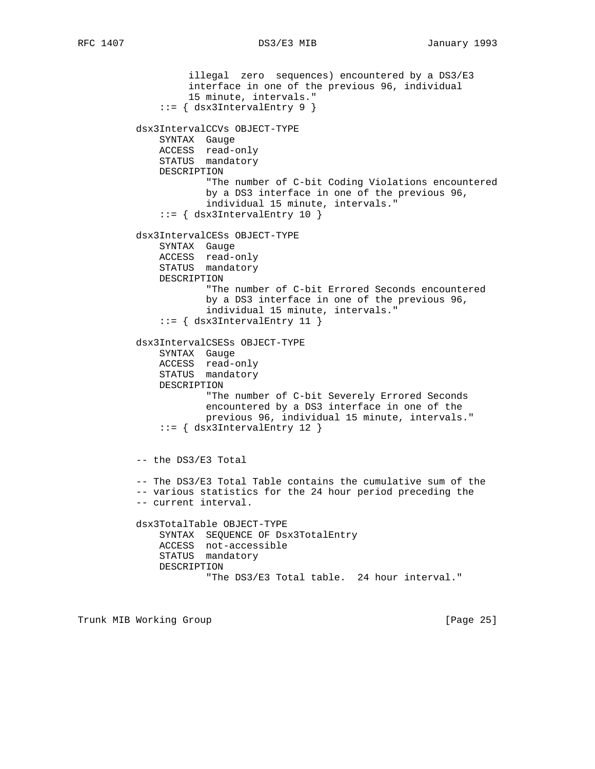illegal zero sequences) encountered by a DS3/E3 interface in one of the previous 96, individual 15 minute, intervals." ::= { dsx3IntervalEntry 9 } dsx3IntervalCCVs OBJECT-TYPE SYNTAX Gauge ACCESS read-only STATUS mandatory DESCRIPTION "The number of C-bit Coding Violations encountered by a DS3 interface in one of the previous 96, individual 15 minute, intervals."  $::=$   $\{$  dsx3IntervalEntry 10  $\}$  dsx3IntervalCESs OBJECT-TYPE SYNTAX Gauge ACCESS read-only STATUS mandatory DESCRIPTION "The number of C-bit Errored Seconds encountered by a DS3 interface in one of the previous 96, individual 15 minute, intervals." ::= { dsx3IntervalEntry 11 } dsx3IntervalCSESs OBJECT-TYPE SYNTAX Gauge ACCESS read-only STATUS mandatory DESCRIPTION "The number of C-bit Severely Errored Seconds encountered by a DS3 interface in one of the previous 96, individual 15 minute, intervals." ::= { dsx3IntervalEntry 12 } -- the DS3/E3 Total -- The DS3/E3 Total Table contains the cumulative sum of the -- various statistics for the 24 hour period preceding the -- current interval. dsx3TotalTable OBJECT-TYPE SYNTAX SEQUENCE OF Dsx3TotalEntry ACCESS not-accessible STATUS mandatory DESCRIPTION "The DS3/E3 Total table. 24 hour interval."

Trunk MIB Working Group **Example 26** (Page 25)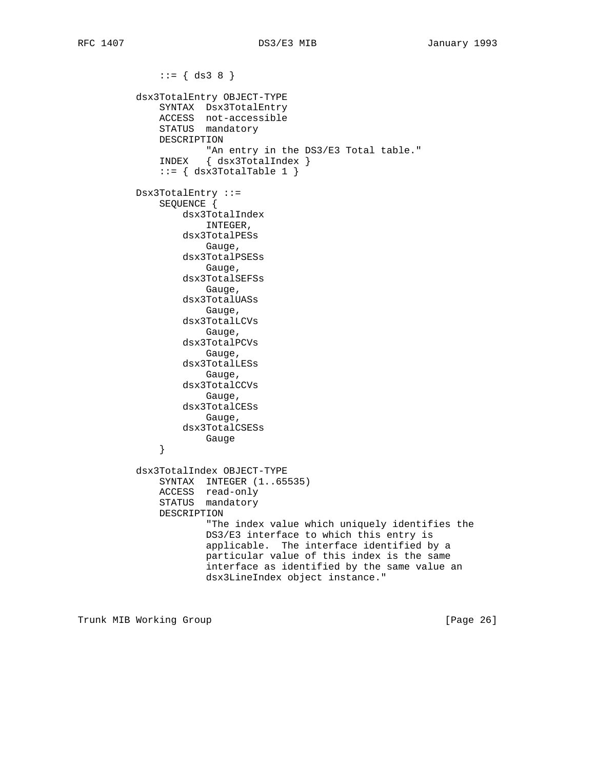RFC 1407 DS3/E3 MIB January 1993

 $::= \{ ds3 8 \}$  dsx3TotalEntry OBJECT-TYPE SYNTAX Dsx3TotalEntry ACCESS not-accessible STATUS mandatory DESCRIPTION "An entry in the DS3/E3 Total table." INDEX { dsx3TotalIndex }  $::=$  { dsx3TotalTable 1 } Dsx3TotalEntry ::= SEQUENCE { dsx3TotalIndex INTEGER, dsx3TotalPESs Gauge, dsx3TotalPSESs Gauge, dsx3TotalSEFSs Gauge, dsx3TotalUASs Gauge, dsx3TotalLCVs Gauge, dsx3TotalPCVs Gauge, dsx3TotalLESs Gauge, dsx3TotalCCVs Gauge, dsx3TotalCESs Gauge, dsx3TotalCSESs }<br>}<br>} } dsx3TotalIndex OBJECT-TYPE SYNTAX INTEGER (1..65535) ACCESS read-only STATUS mandatory DESCRIPTION "The index value which uniquely identifies the DS3/E3 interface to which this entry is applicable. The interface identified by a particular value of this index is the same interface as identified by the same value an dsx3LineIndex object instance."

Trunk MIB Working Group **Example 26** and the control of  $[Page 26]$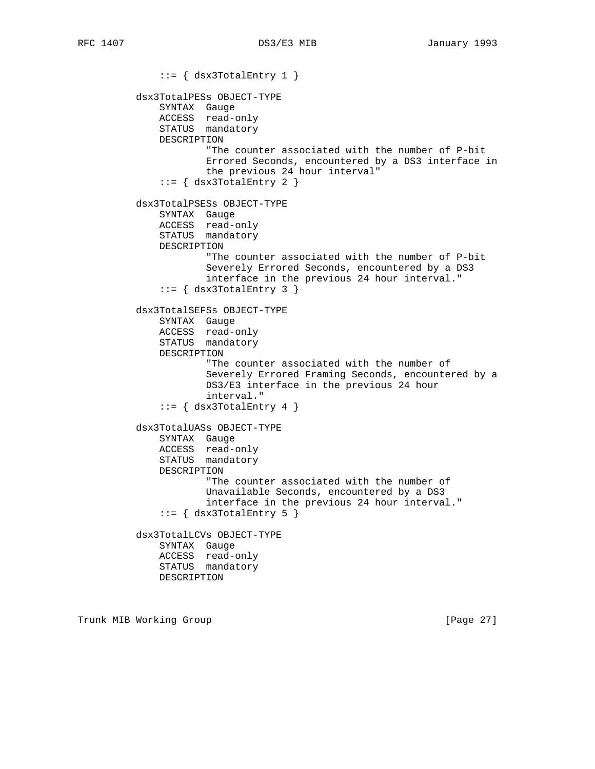$::=$  { dsx3TotalEntry 1 } dsx3TotalPESs OBJECT-TYPE SYNTAX Gauge ACCESS read-only STATUS mandatory DESCRIPTION "The counter associated with the number of P-bit Errored Seconds, encountered by a DS3 interface in the previous 24 hour interval"  $::=$   $\{$  dsx3TotalEntry 2  $\}$  dsx3TotalPSESs OBJECT-TYPE SYNTAX Gauge ACCESS read-only STATUS mandatory DESCRIPTION "The counter associated with the number of P-bit Severely Errored Seconds, encountered by a DS3 interface in the previous 24 hour interval."  $::=$  { dsx3TotalEntry 3 } dsx3TotalSEFSs OBJECT-TYPE SYNTAX Gauge ACCESS read-only STATUS mandatory DESCRIPTION "The counter associated with the number of Severely Errored Framing Seconds, encountered by a DS3/E3 interface in the previous 24 hour interval."  $::=$   $\{$  dsx3TotalEntry 4  $\}$  dsx3TotalUASs OBJECT-TYPE SYNTAX Gauge ACCESS read-only STATUS mandatory DESCRIPTION "The counter associated with the number of Unavailable Seconds, encountered by a DS3 interface in the previous 24 hour interval."  $::=$  { dsx3TotalEntry 5 } dsx3TotalLCVs OBJECT-TYPE SYNTAX Gauge ACCESS read-only STATUS mandatory DESCRIPTION

Trunk MIB Working Group **Example 27** and the control of the control of the control of  $[Page 27]$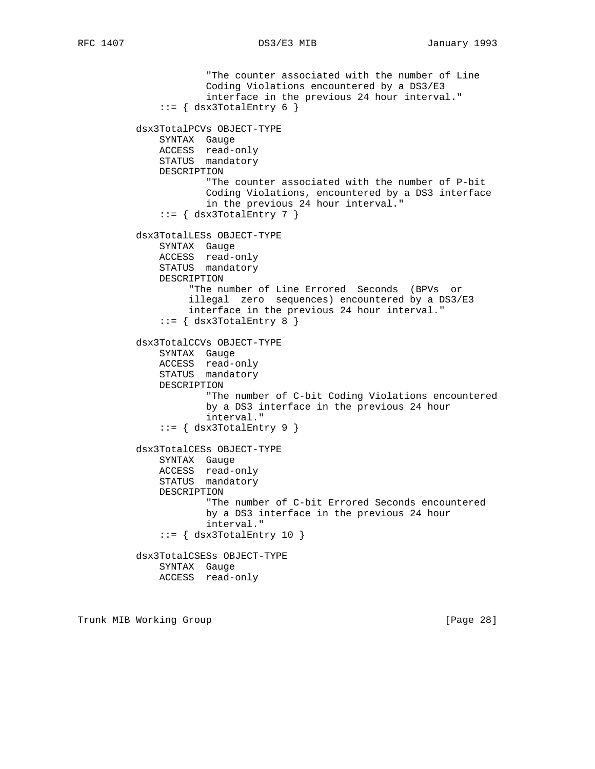"The counter associated with the number of Line Coding Violations encountered by a DS3/E3 interface in the previous 24 hour interval."  $::=$  { dsx3TotalEntry 6 } dsx3TotalPCVs OBJECT-TYPE SYNTAX Gauge ACCESS read-only STATUS mandatory DESCRIPTION "The counter associated with the number of P-bit Coding Violations, encountered by a DS3 interface in the previous 24 hour interval."  $::=$  { dsx3TotalEntry 7 } dsx3TotalLESs OBJECT-TYPE SYNTAX Gauge ACCESS read-only STATUS mandatory DESCRIPTION "The number of Line Errored Seconds (BPVs or illegal zero sequences) encountered by a DS3/E3 interface in the previous 24 hour interval."  $::=$  { dsx3TotalEntry 8 } dsx3TotalCCVs OBJECT-TYPE SYNTAX Gauge ACCESS read-only STATUS mandatory DESCRIPTION "The number of C-bit Coding Violations encountered by a DS3 interface in the previous 24 hour interval."  $::=$   $\{$  dsx3TotalEntry 9  $\}$  dsx3TotalCESs OBJECT-TYPE SYNTAX Gauge ACCESS read-only STATUS mandatory DESCRIPTION "The number of C-bit Errored Seconds encountered by a DS3 interface in the previous 24 hour interval."  $::=$   $\{$  dsx3TotalEntry 10  $\}$  dsx3TotalCSESs OBJECT-TYPE SYNTAX Gauge ACCESS read-only

Trunk MIB Working Group **Example 28** and the control of the control of the control of  $[Page 28]$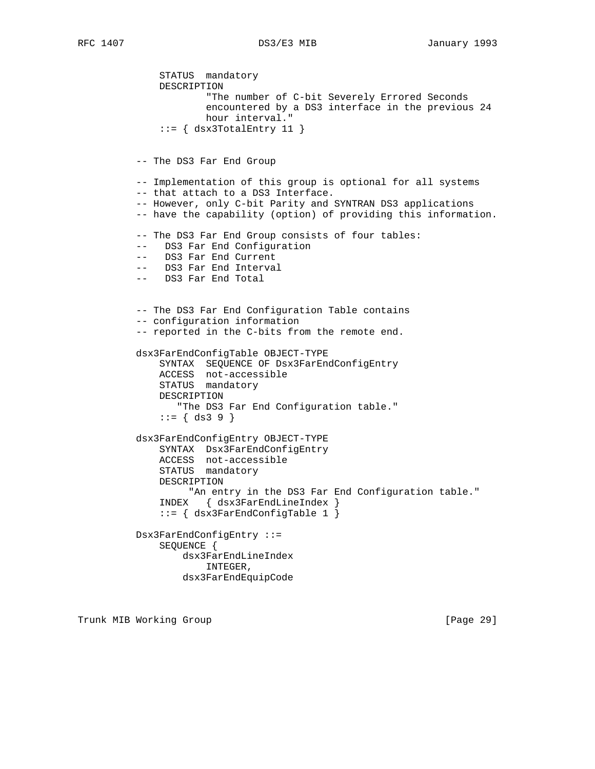STATUS mandatory DESCRIPTION "The number of C-bit Severely Errored Seconds encountered by a DS3 interface in the previous 24 hour interval."  $::=$   $\{$  dsx3TotalEntry 11  $\}$  -- The DS3 Far End Group -- Implementation of this group is optional for all systems -- that attach to a DS3 Interface. -- However, only C-bit Parity and SYNTRAN DS3 applications -- have the capability (option) of providing this information. -- The DS3 Far End Group consists of four tables: -- DS3 Far End Configuration -- DS3 Far End Current -- DS3 Far End Interval -- DS3 Far End Total -- The DS3 Far End Configuration Table contains -- configuration information -- reported in the C-bits from the remote end. dsx3FarEndConfigTable OBJECT-TYPE SYNTAX SEQUENCE OF Dsx3FarEndConfigEntry ACCESS not-accessible STATUS mandatory DESCRIPTION "The DS3 Far End Configuration table."  $::= \{ ds3 9 \}$  dsx3FarEndConfigEntry OBJECT-TYPE SYNTAX Dsx3FarEndConfigEntry ACCESS not-accessible STATUS mandatory DESCRIPTION "An entry in the DS3 Far End Configuration table." INDEX { dsx3FarEndLineIndex } ::= { dsx3FarEndConfigTable 1 }

> Dsx3FarEndConfigEntry ::= SEQUENCE { dsx3FarEndLineIndex INTEGER, dsx3FarEndEquipCode

Trunk MIB Working Group **Example 2018** [Page 29]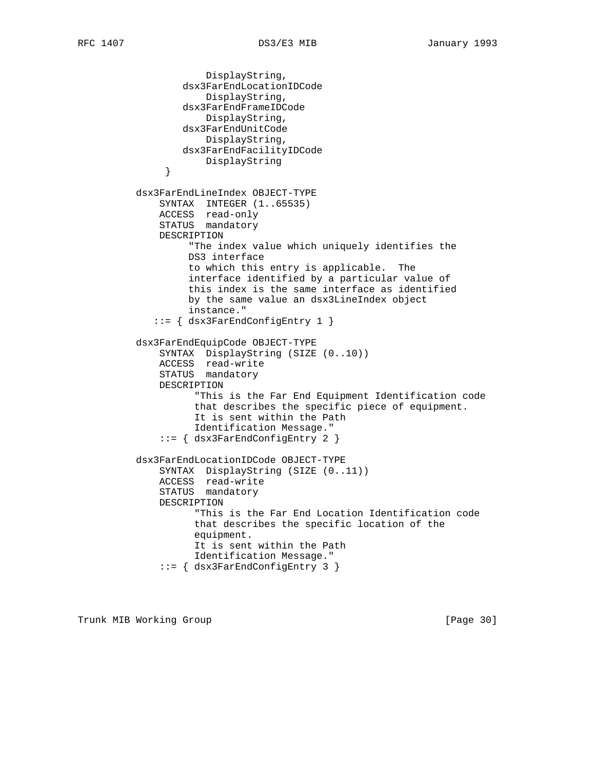```
 DisplayString,
                 dsx3FarEndLocationIDCode
                     DisplayString,
                 dsx3FarEndFrameIDCode
                     DisplayString,
                 dsx3FarEndUnitCode
                     DisplayString,
                 dsx3FarEndFacilityIDCode
             DisplayString<br>}
 }
          dsx3FarEndLineIndex OBJECT-TYPE
             SYNTAX INTEGER (1..65535)
 ACCESS read-only
STATUS mandatory
             DESCRIPTION
                  "The index value which uniquely identifies the
                  DS3 interface
                  to which this entry is applicable. The
                  interface identified by a particular value of
                  this index is the same interface as identified
                  by the same value an dsx3LineIndex object
                  instance."
             ::= { dsx3FarEndConfigEntry 1 }
          dsx3FarEndEquipCode OBJECT-TYPE
 SYNTAX DisplayString (SIZE (0..10))
 ACCESS read-write
STATUS mandatory
             DESCRIPTION
                   "This is the Far End Equipment Identification code
                   that describes the specific piece of equipment.
                   It is sent within the Path
                   Identification Message."
              ::= { dsx3FarEndConfigEntry 2 }
          dsx3FarEndLocationIDCode OBJECT-TYPE
 SYNTAX DisplayString (SIZE (0..11))
 ACCESS read-write
STATUS mandatory
             DESCRIPTION
                   "This is the Far End Location Identification code
                   that describes the specific location of the
                   equipment.
                   It is sent within the Path
                   Identification Message."
              ::= { dsx3FarEndConfigEntry 3 }
```
Trunk MIB Working Group **Example 2018** [Page 30]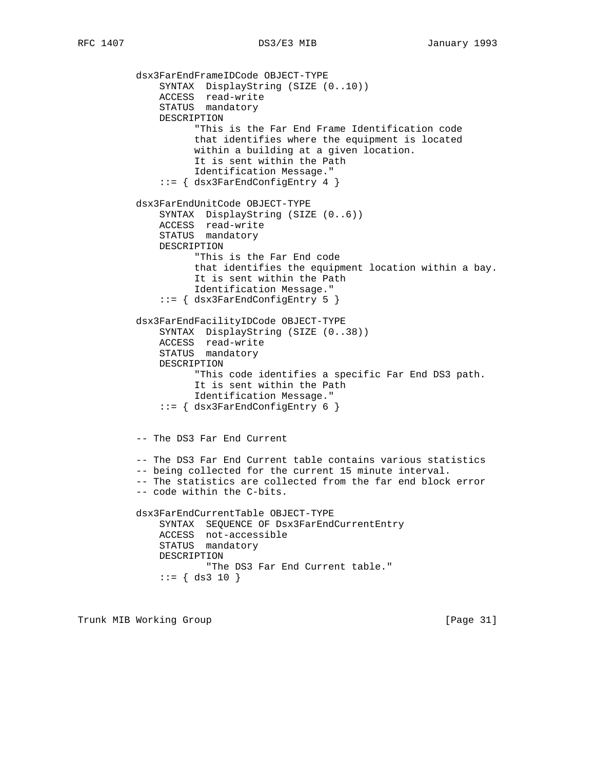```
 dsx3FarEndFrameIDCode OBJECT-TYPE
 SYNTAX DisplayString (SIZE (0..10))
 ACCESS read-write
STATUS mandatory
              DESCRIPTION
                    "This is the Far End Frame Identification code
                   that identifies where the equipment is located
                   within a building at a given location.
                   It is sent within the Path
                   Identification Message."
              ::= { dsx3FarEndConfigEntry 4 }
          dsx3FarEndUnitCode OBJECT-TYPE
 SYNTAX DisplayString (SIZE (0..6))
 ACCESS read-write
STATUS mandatory
              DESCRIPTION
                   "This is the Far End code
                   that identifies the equipment location within a bay.
                   It is sent within the Path
                   Identification Message."
              ::= { dsx3FarEndConfigEntry 5 }
          dsx3FarEndFacilityIDCode OBJECT-TYPE
              SYNTAX DisplayString (SIZE (0..38))
 ACCESS read-write
STATUS mandatory
              DESCRIPTION
                   "This code identifies a specific Far End DS3 path.
                   It is sent within the Path
                   Identification Message."
              ::= { dsx3FarEndConfigEntry 6 }
          -- The DS3 Far End Current
          -- The DS3 Far End Current table contains various statistics
          -- being collected for the current 15 minute interval.
          -- The statistics are collected from the far end block error
          -- code within the C-bits.
          dsx3FarEndCurrentTable OBJECT-TYPE
              SYNTAX SEQUENCE OF Dsx3FarEndCurrentEntry
              ACCESS not-accessible
              STATUS mandatory
              DESCRIPTION
                     "The DS3 Far End Current table."
             ::= { ds3 10 }
```
Trunk MIB Working Group **Example 2018** [Page 31]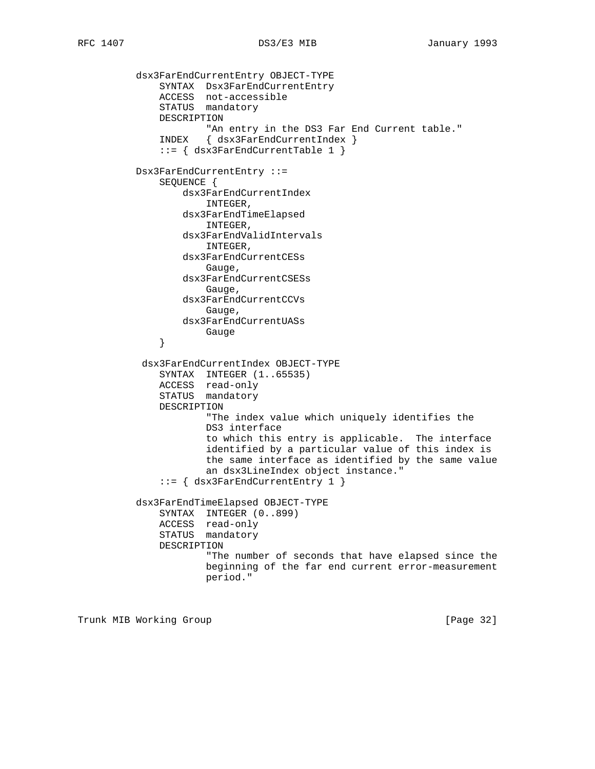```
 dsx3FarEndCurrentEntry OBJECT-TYPE
 SYNTAX Dsx3FarEndCurrentEntry
 ACCESS not-accessible
STATUS mandatory
              DESCRIPTION
                    "An entry in the DS3 Far End Current table."
              INDEX { dsx3FarEndCurrentIndex }
              ::= { dsx3FarEndCurrentTable 1 }
          Dsx3FarEndCurrentEntry ::=
              SEQUENCE {
                 dsx3FarEndCurrentIndex
                     INTEGER,
                  dsx3FarEndTimeElapsed
                     INTEGER,
                  dsx3FarEndValidIntervals
                     INTEGER,
                  dsx3FarEndCurrentCESs
                     Gauge,
                  dsx3FarEndCurrentCSESs
                     Gauge,
                  dsx3FarEndCurrentCCVs
                     Gauge,
                  dsx3FarEndCurrentUASs
             }<br>}<br>}
 }
           dsx3FarEndCurrentIndex OBJECT-TYPE
SYNTAX INTEGER (1..65535)
 ACCESS read-only
              STATUS mandatory
              DESCRIPTION
                      "The index value which uniquely identifies the
                     DS3 interface
                      to which this entry is applicable. The interface
                      identified by a particular value of this index is
                      the same interface as identified by the same value
                      an dsx3LineIndex object instance."
              ::= { dsx3FarEndCurrentEntry 1 }
          dsx3FarEndTimeElapsed OBJECT-TYPE
              SYNTAX INTEGER (0..899)
              ACCESS read-only
              STATUS mandatory
              DESCRIPTION
                      "The number of seconds that have elapsed since the
                     beginning of the far end current error-measurement
                     period."
```
Trunk MIB Working Group **Example 2018** [Page 32]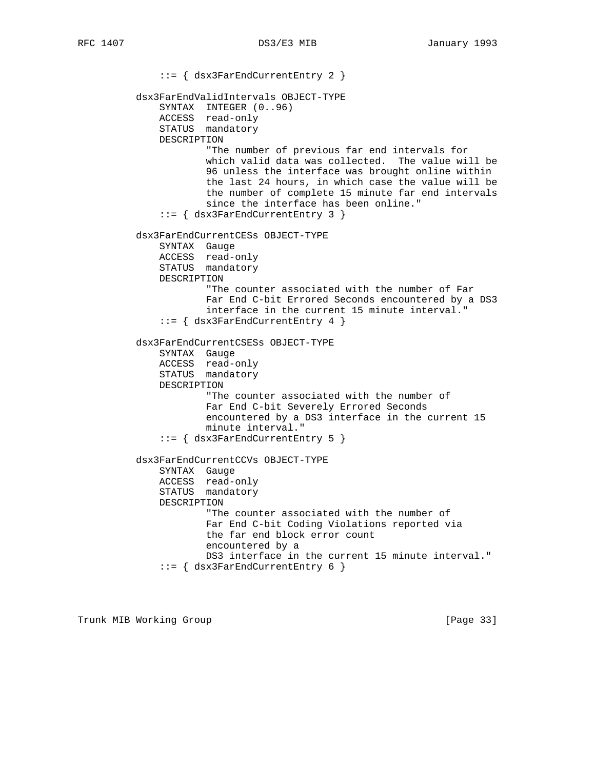::= { dsx3FarEndCurrentEntry 2 } dsx3FarEndValidIntervals OBJECT-TYPE SYNTAX INTEGER (0..96) ACCESS read-only STATUS mandatory DESCRIPTION "The number of previous far end intervals for which valid data was collected. The value will be 96 unless the interface was brought online within the last 24 hours, in which case the value will be the number of complete 15 minute far end intervals since the interface has been online." ::= { dsx3FarEndCurrentEntry 3 } dsx3FarEndCurrentCESs OBJECT-TYPE SYNTAX Gauge ACCESS read-only STATUS mandatory DESCRIPTION "The counter associated with the number of Far Far End C-bit Errored Seconds encountered by a DS3 interface in the current 15 minute interval." ::= { dsx3FarEndCurrentEntry 4 } dsx3FarEndCurrentCSESs OBJECT-TYPE SYNTAX Gauge ACCESS read-only STATUS mandatory DESCRIPTION "The counter associated with the number of Far End C-bit Severely Errored Seconds encountered by a DS3 interface in the current 15 minute interval." ::= { dsx3FarEndCurrentEntry 5 } dsx3FarEndCurrentCCVs OBJECT-TYPE SYNTAX Gauge ACCESS read-only STATUS mandatory DESCRIPTION "The counter associated with the number of Far End C-bit Coding Violations reported via the far end block error count encountered by a DS3 interface in the current 15 minute interval." ::= { dsx3FarEndCurrentEntry 6 }

Trunk MIB Working Group **Example 2018** [Page 33]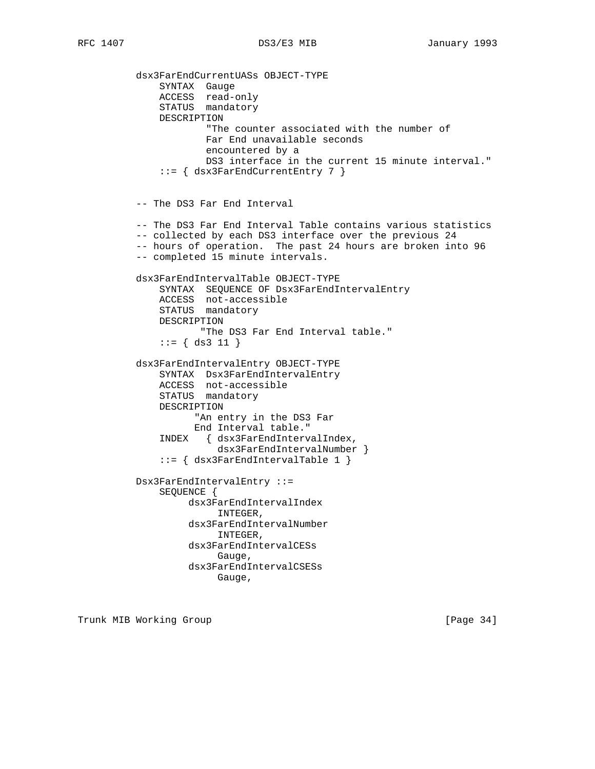dsx3FarEndCurrentUASs OBJECT-TYPE SYNTAX Gauge ACCESS read-only STATUS mandatory DESCRIPTION "The counter associated with the number of Far End unavailable seconds encountered by a DS3 interface in the current 15 minute interval." ::= { dsx3FarEndCurrentEntry 7 } -- The DS3 Far End Interval -- The DS3 Far End Interval Table contains various statistics -- collected by each DS3 interface over the previous 24 -- hours of operation. The past 24 hours are broken into 96 -- completed 15 minute intervals. dsx3FarEndIntervalTable OBJECT-TYPE SYNTAX SEQUENCE OF Dsx3FarEndIntervalEntry ACCESS not-accessible STATUS mandatory DESCRIPTION "The DS3 Far End Interval table." ::= { ds3 11 } dsx3FarEndIntervalEntry OBJECT-TYPE SYNTAX Dsx3FarEndIntervalEntry ACCESS not-accessible STATUS mandatory DESCRIPTION "An entry in the DS3 Far End Interval table." INDEX { dsx3FarEndIntervalIndex, dsx3FarEndIntervalNumber } ::= { dsx3FarEndIntervalTable 1 } Dsx3FarEndIntervalEntry ::= SEQUENCE { dsx3FarEndIntervalIndex INTEGER, dsx3FarEndIntervalNumber INTEGER, dsx3FarEndIntervalCESs Gauge, dsx3FarEndIntervalCSESs Gauge,

Trunk MIB Working Group **Example 2018** [Page 34]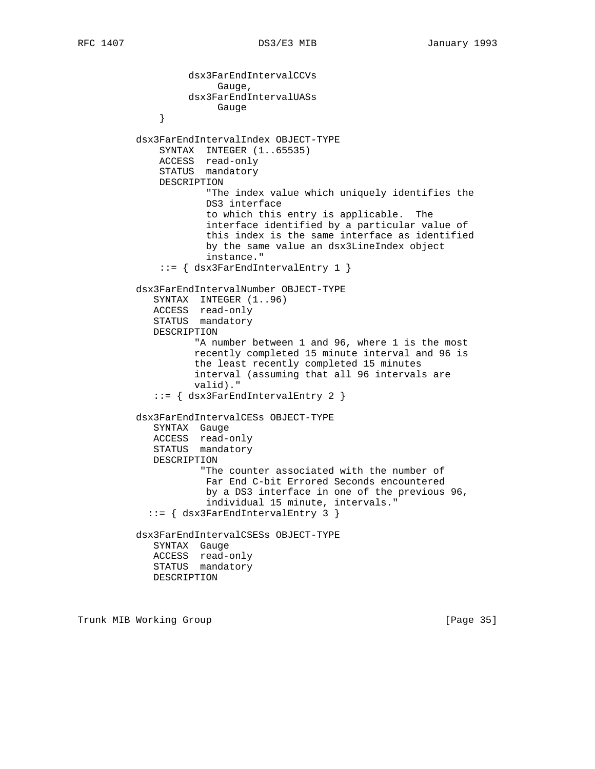dsx3FarEndIntervalCCVs Gauge, dsx3FarEndIntervalUASs }<br>}<br>} } dsx3FarEndIntervalIndex OBJECT-TYPE SYNTAX INTEGER (1..65535) ACCESS read-only STATUS mandatory DESCRIPTION "The index value which uniquely identifies the DS3 interface to which this entry is applicable. The interface identified by a particular value of this index is the same interface as identified by the same value an dsx3LineIndex object instance." ::= { dsx3FarEndIntervalEntry 1 } dsx3FarEndIntervalNumber OBJECT-TYPE SYNTAX INTEGER (1..96) ACCESS read-only STATUS mandatory DESCRIPTION "A number between 1 and 96, where 1 is the most recently completed 15 minute interval and 96 is the least recently completed 15 minutes interval (assuming that all 96 intervals are valid)." ::= { dsx3FarEndIntervalEntry 2 } dsx3FarEndIntervalCESs OBJECT-TYPE SYNTAX Gauge ACCESS read-only STATUS mandatory DESCRIPTION "The counter associated with the number of Far End C-bit Errored Seconds encountered by a DS3 interface in one of the previous 96, individual 15 minute, intervals." ::= { dsx3FarEndIntervalEntry 3 } dsx3FarEndIntervalCSESs OBJECT-TYPE SYNTAX Gauge ACCESS read-only STATUS mandatory DESCRIPTION

Trunk MIB Working Group **Example 20** (Page 35)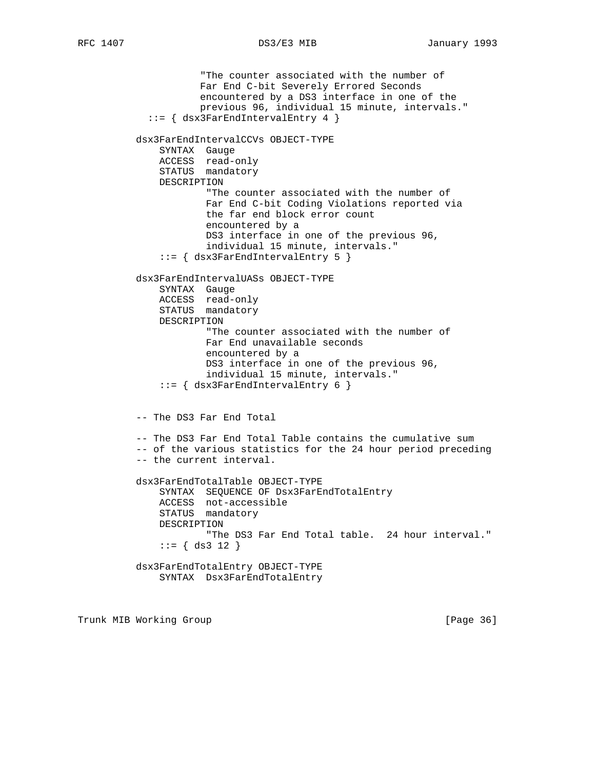"The counter associated with the number of Far End C-bit Severely Errored Seconds encountered by a DS3 interface in one of the previous 96, individual 15 minute, intervals." ::= { dsx3FarEndIntervalEntry 4 } dsx3FarEndIntervalCCVs OBJECT-TYPE SYNTAX Gauge ACCESS read-only STATUS mandatory DESCRIPTION "The counter associated with the number of Far End C-bit Coding Violations reported via the far end block error count encountered by a DS3 interface in one of the previous 96, individual 15 minute, intervals." ::= { dsx3FarEndIntervalEntry 5 } dsx3FarEndIntervalUASs OBJECT-TYPE SYNTAX Gauge ACCESS read-only STATUS mandatory DESCRIPTION "The counter associated with the number of Far End unavailable seconds encountered by a DS3 interface in one of the previous 96, individual 15 minute, intervals." ::= { dsx3FarEndIntervalEntry 6 } -- The DS3 Far End Total -- The DS3 Far End Total Table contains the cumulative sum -- of the various statistics for the 24 hour period preceding -- the current interval. dsx3FarEndTotalTable OBJECT-TYPE SYNTAX SEQUENCE OF Dsx3FarEndTotalEntry ACCESS not-accessible STATUS mandatory DESCRIPTION "The DS3 Far End Total table. 24 hour interval."  $::=$  { ds3 12 } dsx3FarEndTotalEntry OBJECT-TYPE SYNTAX Dsx3FarEndTotalEntry

Trunk MIB Working Group **Example 2018** [Page 36]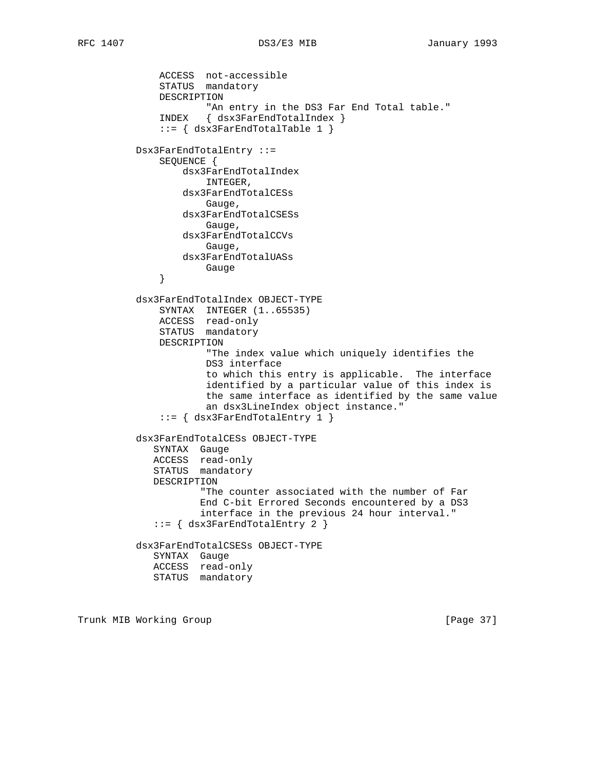ACCESS not-accessible STATUS mandatory DESCRIPTION "An entry in the DS3 Far End Total table." INDEX { dsx3FarEndTotalIndex } ::= { dsx3FarEndTotalTable 1 } Dsx3FarEndTotalEntry ::= SEQUENCE { dsx3FarEndTotalIndex INTEGER, dsx3FarEndTotalCESs Gauge, dsx3FarEndTotalCSESs Gauge, dsx3FarEndTotalCCVs Gauge, dsx3FarEndTotalUASs }<br>}<br>} } dsx3FarEndTotalIndex OBJECT-TYPE SYNTAX INTEGER (1..65535) ACCESS read-only STATUS mandatory DESCRIPTION "The index value which uniquely identifies the DS3 interface to which this entry is applicable. The interface identified by a particular value of this index is the same interface as identified by the same value an dsx3LineIndex object instance." ::= { dsx3FarEndTotalEntry 1 } dsx3FarEndTotalCESs OBJECT-TYPE SYNTAX Gauge ACCESS read-only STATUS mandatory DESCRIPTION "The counter associated with the number of Far End C-bit Errored Seconds encountered by a DS3 interface in the previous 24 hour interval." ::= { dsx3FarEndTotalEntry 2 } dsx3FarEndTotalCSESs OBJECT-TYPE SYNTAX Gauge ACCESS read-only STATUS mandatory

Trunk MIB Working Group **Example 2018** [Page 37]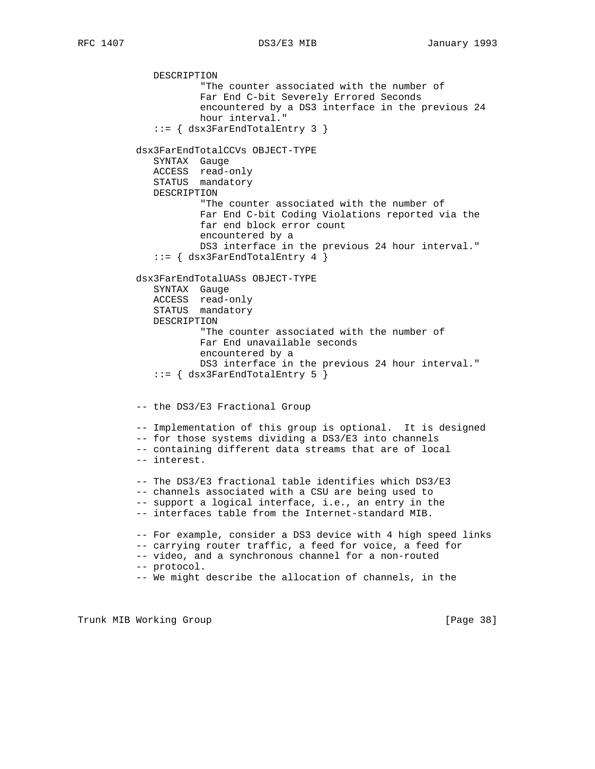DESCRIPTION "The counter associated with the number of Far End C-bit Severely Errored Seconds encountered by a DS3 interface in the previous 24 hour interval." ::= { dsx3FarEndTotalEntry 3 } dsx3FarEndTotalCCVs OBJECT-TYPE SYNTAX Gauge ACCESS read-only STATUS mandatory DESCRIPTION "The counter associated with the number of Far End C-bit Coding Violations reported via the far end block error count encountered by a DS3 interface in the previous 24 hour interval." ::= { dsx3FarEndTotalEntry 4 } dsx3FarEndTotalUASs OBJECT-TYPE SYNTAX Gauge ACCESS read-only STATUS mandatory DESCRIPTION "The counter associated with the number of Far End unavailable seconds encountered by a DS3 interface in the previous 24 hour interval." ::= { dsx3FarEndTotalEntry 5 } -- the DS3/E3 Fractional Group -- Implementation of this group is optional. It is designed -- for those systems dividing a DS3/E3 into channels -- containing different data streams that are of local -- interest. -- The DS3/E3 fractional table identifies which DS3/E3 -- channels associated with a CSU are being used to -- support a logical interface, i.e., an entry in the -- interfaces table from the Internet-standard MIB. -- For example, consider a DS3 device with 4 high speed links -- carrying router traffic, a feed for voice, a feed for -- video, and a synchronous channel for a non-routed -- protocol. -- We might describe the allocation of channels, in the

Trunk MIB Working Group **Example 2018** [Page 38]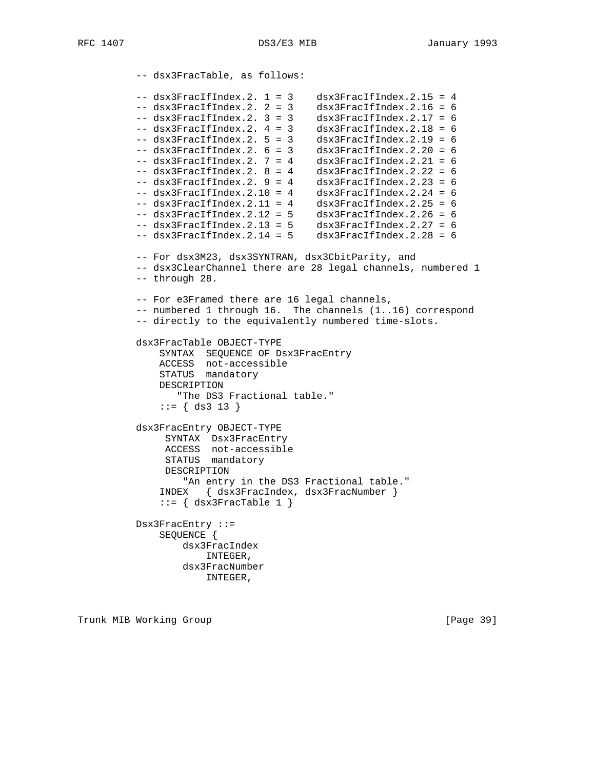-- dsx3FracTable, as follows:  $--$  dsx3FracIfIndex.2. 1 = 3 dsx3FracIfIndex.2.15 = 4 -- dsx3FracIfIndex.2. 2 = 3 dsx3FracIfIndex.2.16 = 6 -- dsx3FracIfIndex.2. 3 = 3 dsx3FracIfIndex.2.17 = 6 -- dsx3FracIfIndex.2. 4 = 3 dsx3FracIfIndex.2.18 = 6 -- dsx3FracIfIndex.2. 5 = 3 dsx3FracIfIndex.2.19 = 6 -- dsx3FracIfIndex.2. 6 = 3 dsx3FracIfIndex.2.20 = 6 -- dsx3FracIfIndex.2. 7 = 4 dsx3FracIfIndex.2.21 = 6  $--$  dsx3FracIfIndex.2.  $8 = 4$  dsx3FracIfIndex.2.22 = 6 -- dsx3FracIfIndex.2. 9 = 4 dsx3FracIfIndex.2.23 = 6 -- dsx3FracIfIndex.2.10 = 4 dsx3FracIfIndex.2.24 = 6  $--$  dsx3FracIfIndex.2.11 = 4 dsx3FracIfIndex.2.25 = 6 -- dsx3FracIfIndex.2.12 = 5 dsx3FracIfIndex.2.26 = 6 -- dsx3FracIfIndex.2.13 = 5 dsx3FracIfIndex.2.27 = 6 -- dsx3FracIfIndex.2.14 = 5 dsx3FracIfIndex.2.28 = 6 -- For dsx3M23, dsx3SYNTRAN, dsx3CbitParity, and -- dsx3ClearChannel there are 28 legal channels, numbered 1 -- through 28. -- For e3Framed there are 16 legal channels, -- numbered 1 through 16. The channels (1..16) correspond -- directly to the equivalently numbered time-slots. dsx3FracTable OBJECT-TYPE SYNTAX SEQUENCE OF Dsx3FracEntry ACCESS not-accessible STATUS mandatory DESCRIPTION "The DS3 Fractional table."  $::=$  { ds3 13 } dsx3FracEntry OBJECT-TYPE SYNTAX Dsx3FracEntry ACCESS not-accessible STATUS mandatory DESCRIPTION "An entry in the DS3 Fractional table." INDEX { dsx3FracIndex, dsx3FracNumber }  $::=$  { dsx3FracTable 1 } Dsx3FracEntry ::= SEQUENCE { dsx3FracIndex INTEGER, dsx3FracNumber INTEGER,

Trunk MIB Working Group **Example 2018** [Page 39]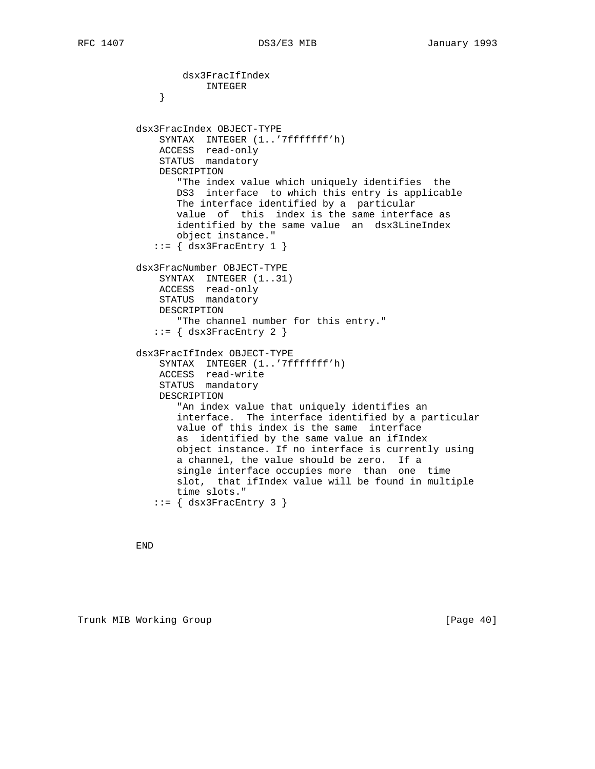```
 dsx3FracIfIndex
              INTEGER
 }
          dsx3FracIndex OBJECT-TYPE
              SYNTAX INTEGER (1..'7fffffff'h)
              ACCESS read-only
              STATUS mandatory
              DESCRIPTION
                 "The index value which uniquely identifies the
                 DS3 interface to which this entry is applicable
                 The interface identified by a particular
                 value of this index is the same interface as
                 identified by the same value an dsx3LineIndex
                 object instance."
            ::= { dsx3FracEntry 1 }
          dsx3FracNumber OBJECT-TYPE
              SYNTAX INTEGER (1..31)
              ACCESS read-only
              STATUS mandatory
              DESCRIPTION
                 "The channel number for this entry."
            ::= \{ dsx3FracEntry 2 \} dsx3FracIfIndex OBJECT-TYPE
              SYNTAX INTEGER (1..'7fffffff'h)
 ACCESS read-write
STATUS mandatory
              DESCRIPTION
                 "An index value that uniquely identifies an
                 interface. The interface identified by a particular
                 value of this index is the same interface
                 as identified by the same value an ifIndex
                 object instance. If no interface is currently using
                 a channel, the value should be zero. If a
                 single interface occupies more than one time
                 slot, that ifIndex value will be found in multiple
                 time slots."
            ::= \{ dsx3FracEntry 3 \}
```
END

Trunk MIB Working Group **Example 2018** [Page 40]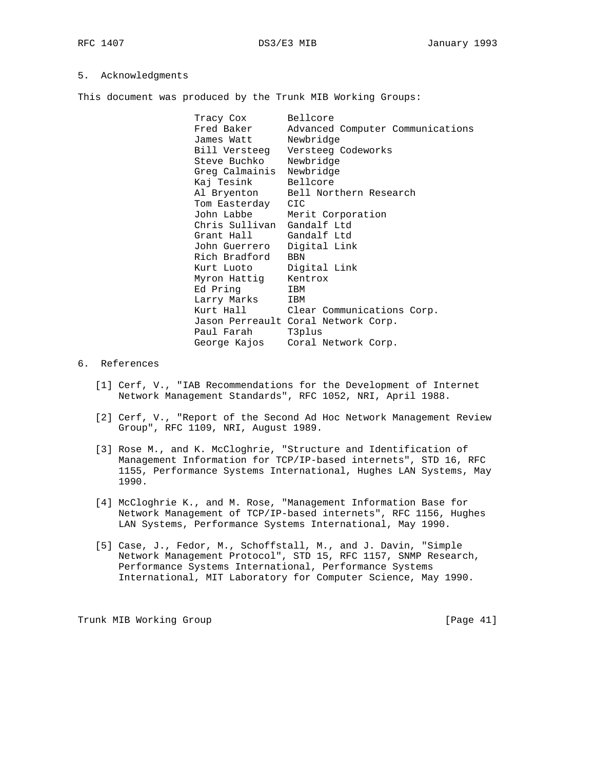## 5. Acknowledgments

This document was produced by the Trunk MIB Working Groups:

Tracy Cox Bellcore<br>Fred Baker Advanced Fred Baker Advanced Computer Communications James Watt Newbridge Bill Versteeg Versteeg Codeworks Steve Buchko Newbridge Greg Calmainis Newbridge Kaj Tesink Bellcore Al Bryenton Bell Northern Research Tom Easterday CIC John Labbe Merit Corporation Chris Sullivan Gandalf Ltd Grant Hall Gandalf Ltd John Guerrero Digital Link Rich Bradford BBN Kurt Luoto Digital Link Myron Hattig Kentrox Ed Pring IBM Larry Marks IBM Kurt Hall Clear Communications Corp. Jason Perreault Coral Network Corp. Paul Farah T3plus George Kajos Coral Network Corp.

- 6. References
	- [1] Cerf, V., "IAB Recommendations for the Development of Internet Network Management Standards", RFC 1052, NRI, April 1988.
	- [2] Cerf, V., "Report of the Second Ad Hoc Network Management Review Group", RFC 1109, NRI, August 1989.
	- [3] Rose M., and K. McCloghrie, "Structure and Identification of Management Information for TCP/IP-based internets", STD 16, RFC 1155, Performance Systems International, Hughes LAN Systems, May 1990.
	- [4] McCloghrie K., and M. Rose, "Management Information Base for Network Management of TCP/IP-based internets", RFC 1156, Hughes LAN Systems, Performance Systems International, May 1990.
	- [5] Case, J., Fedor, M., Schoffstall, M., and J. Davin, "Simple Network Management Protocol", STD 15, RFC 1157, SNMP Research, Performance Systems International, Performance Systems International, MIT Laboratory for Computer Science, May 1990.

Trunk MIB Working Group **Example 2018** [Page 41]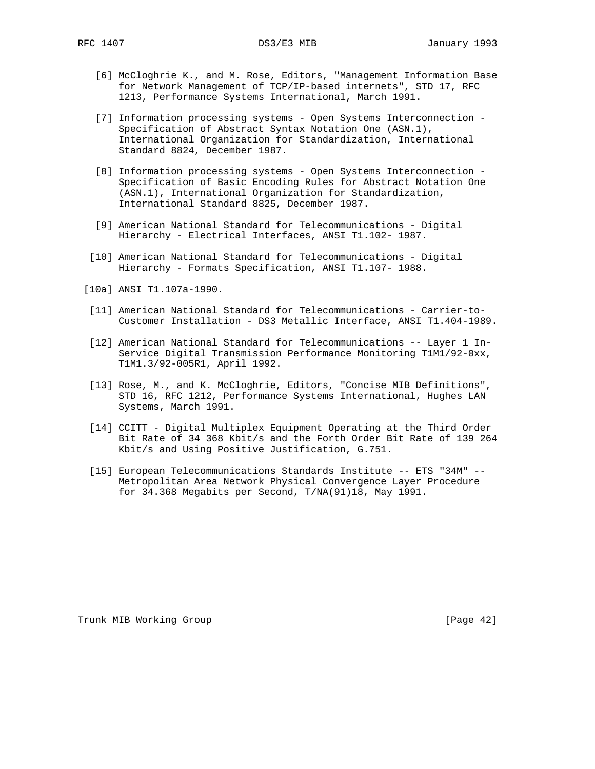- [6] McCloghrie K., and M. Rose, Editors, "Management Information Base for Network Management of TCP/IP-based internets", STD 17, RFC 1213, Performance Systems International, March 1991.
- [7] Information processing systems Open Systems Interconnection Specification of Abstract Syntax Notation One (ASN.1), International Organization for Standardization, International Standard 8824, December 1987.
- [8] Information processing systems Open Systems Interconnection Specification of Basic Encoding Rules for Abstract Notation One (ASN.1), International Organization for Standardization, International Standard 8825, December 1987.
- [9] American National Standard for Telecommunications Digital Hierarchy - Electrical Interfaces, ANSI T1.102- 1987.
- [10] American National Standard for Telecommunications Digital Hierarchy - Formats Specification, ANSI T1.107- 1988.
- [10a] ANSI T1.107a-1990.
- [11] American National Standard for Telecommunications Carrier-to- Customer Installation - DS3 Metallic Interface, ANSI T1.404-1989.
- [12] American National Standard for Telecommunications -- Layer 1 In- Service Digital Transmission Performance Monitoring T1M1/92-0xx, T1M1.3/92-005R1, April 1992.
- [13] Rose, M., and K. McCloghrie, Editors, "Concise MIB Definitions", STD 16, RFC 1212, Performance Systems International, Hughes LAN Systems, March 1991.
- [14] CCITT Digital Multiplex Equipment Operating at the Third Order Bit Rate of 34 368 Kbit/s and the Forth Order Bit Rate of 139 264 Kbit/s and Using Positive Justification, G.751.
- [15] European Telecommunications Standards Institute -- ETS "34M" -- Metropolitan Area Network Physical Convergence Layer Procedure for 34.368 Megabits per Second, T/NA(91)18, May 1991.

Trunk MIB Working Group **Example 2018** [Page 42]